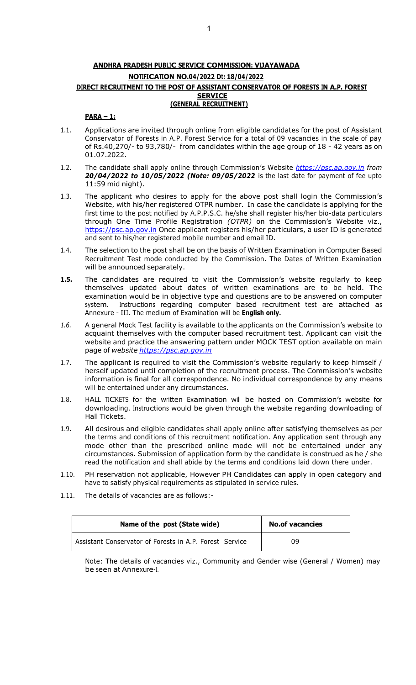# **ANDHRA PRADESH PUBLIC SERVICE COMMISSION: VIJAYAWADA NOTIFICATION NO.04/2022 Dt: 18/04/2022 DIRECT RECRUITMENT TO THE POST OF ASSISTANT CONSERVATOR OF FORESTS IN A.P. FOREST SERVICE (GENERAL RECRUITMENT)**

#### **PARA – 1:**

- 1.1. Applications are invited through online from eligible candidates for the post of Assistant Conservator of Forests in A.P. Forest Service for a total of 09 vacancies in the scale of pay of Rs.40,270/- to 93,780/- from candidates within the age group of 18 - 42 years as on 01.07.2022.
- 1.2. The candidate shall apply online through Commission's Website *[https://psc.ap.gov.in f](https://psc.ap.gov.in/)rom 20/04/2022 to 10/05/2022 (Note: 09/05/2022* is the last date for payment of fee upto 11:59 mid night).
- 1.3. The applicant who desires to apply for the above post shall login the Commission's Website, with his/her registered OTPR number. In case the candidate is applying for the first time to the post notified by A.P.P.S.C. he/she shall register his/her bio-data particulars through One Time Profile Registration *(OTPR)* on the Commission's Website viz., [https://psc.ap.gov.in O](https://psc.ap.gov.in/)nce applicant registers his/her particulars, a user ID is generated and sent to his/her registered mobile number and email ID.
- 1.4. The selection to the post shall be on the basis of Written Examination in Computer Based Recruitment Test mode conducted by the Commission. The Dates of Written Examination will be announced separately.
- **1.5.** The candidates are required to visit the Commission's website regularly to keep themselves updated about dates of written examinations are to be held. The examination would be in objective type and questions are to be answered on computer system. Instructions regarding computer based recruitment test are attached as Annexure - III. The medium of Examination will be **English only.**
- *1.6.* A general Mock Test facility is available to the applicants on the Commission's website to acquaint themselves with the computer based recruitment test. Applicant can visit the website and practice the answering pattern under MOCK TEST option available on main page of *website [https://psc.ap.gov.in](http://www.psc.ap.gov.in/)*
- 1.7. The applicant is required to visit the Commission's website regularly to keep himself / herself updated until completion of the recruitment process. The Commission's website information is final for all correspondence. No individual correspondence by any means will be entertained under any circumstances.
- 1.8. HALL TICKETS for the written Examination will be hosted on Commission's website for downloading. Instructions would be given through the website regarding downloading of Hall Tickets.
- 1.9. All desirous and eligible candidates shall apply online after satisfying themselves as per the terms and conditions of this recruitment notification. Any application sent through any mode other than the prescribed online mode will not be entertained under any circumstances. Submission of application form by the candidate is construed as he / she read the notification and shall abide by the terms and conditions laid down there under.
- 1.10. PH reservation not applicable, However PH Candidates can apply in open category and have to satisfy physical requirements as stipulated in service rules.
- 1.11. The details of vacancies are as follows:-

| Name of the post (State wide)                           | <b>No.of vacancies</b> |
|---------------------------------------------------------|------------------------|
| Assistant Conservator of Forests in A.P. Forest Service | 09                     |

Note: The details of vacancies viz., Community and Gender wise (General / Women) may be seen at Annexure-I.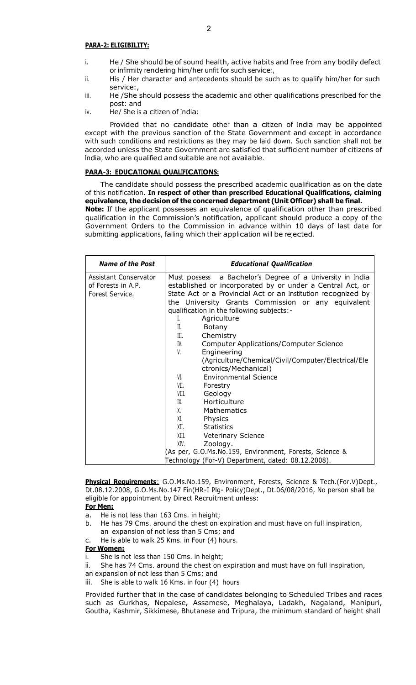#### **PARA-2: ELIGIBILITY:**

- i. He / She should be of sound health, active habits and free from any bodily defect or infirmity rendering him/her unfit for such service:,
- ii. His / Her character and antecedents should be such as to qualify him/her for such service:,
- iii. He /She should possess the academic and other qualifications prescribed for the post: and
- iv. He/ She is a citizen of India:

Provided that no candidate other than a citizen of India may be appointed except with the previous sanction of the State Government and except in accordance with such conditions and restrictions as they may be laid down. Such sanction shall not be accorded unless the State Government are satisfied that sufficient number of citizens of India, who are qualified and suitable are not available.

#### **PARA-3: EDUCATIONAL QUALIFICATIONS:**

The candidate should possess the prescribed academic qualification as on the date of this notification. **In respect of other than prescribed Educational Qualifications, claiming equivalence, the decision of the concerned department (Unit Officer) shall be final.** 

**Note:** If the applicant possesses an equivalence of qualification other than prescribed qualification in the Commission's notification, applicant should produce a copy of the Government Orders to the Commission in advance within 10 days of last date for submitting applications, failing which their application will be rejected.

| <b>Name of the Post</b>                                        | <b>Educational Qualification</b>                                                                                                                                                                                                                                                                                                                                                                                                                                                                                                                                                                                                                              |
|----------------------------------------------------------------|---------------------------------------------------------------------------------------------------------------------------------------------------------------------------------------------------------------------------------------------------------------------------------------------------------------------------------------------------------------------------------------------------------------------------------------------------------------------------------------------------------------------------------------------------------------------------------------------------------------------------------------------------------------|
| Assistant Conservator<br>of Forests in A.P.<br>Forest Service. | Must possess a Bachelor's Degree of a University in India<br>established or incorporated by or under a Central Act, or<br>State Act or a Provincial Act or an Institution recognized by<br>the University Grants Commission or any equivalent<br>qualification in the following subjects:-<br>Agriculture<br>L.<br>H.<br>Botany<br>III.<br>Chemistry<br>IV.<br><b>Computer Applications/Computer Science</b><br>V.<br>Engineering<br>(Agriculture/Chemical/Civil/Computer/Electrical/Ele<br>ctronics/Mechanical)<br><b>Environmental Science</b><br>VI.<br>VII.<br>Forestry<br>VIII.<br>Geology<br>Horticulture<br>IX.<br>X.<br>Mathematics<br>XI.<br>Physics |
|                                                                | XII.<br><b>Statistics</b>                                                                                                                                                                                                                                                                                                                                                                                                                                                                                                                                                                                                                                     |
|                                                                | XIII.<br>Veterinary Science<br>Zoology.<br>XIV.                                                                                                                                                                                                                                                                                                                                                                                                                                                                                                                                                                                                               |
|                                                                | (As per, G.O.Ms.No.159, Environment, Forests, Science &                                                                                                                                                                                                                                                                                                                                                                                                                                                                                                                                                                                                       |
|                                                                | Technology (For-V) Department, dated: 08.12.2008).                                                                                                                                                                                                                                                                                                                                                                                                                                                                                                                                                                                                            |

**Physical Requirements**: G.O.Ms.No.159, Environment, Forests, Science & Tech.(For.V)Dept., Dt.08.12.2008, G.O.Ms.No.147 Fin(HR-I Plg- Policy)Dept., Dt.06/08/2016, No person shall be eligible for appointment by Direct Recruitment unless:

# **For Men:**

- a. He is not less than 163 Cms. in height;
- b. He has 79 Cms. around the chest on expiration and must have on full inspiration, an expansion of not less than 5 Cms; and
- c. He is able to walk 25 Kms. in Four (4) hours.

#### **For Women:**

- She is not less than 150 Cms. in height;
- ii. She has 74 Cms. around the chest on expiration and must have on full inspiration,
- an expansion of not less than 5 Cms; and
- iii. She is able to walk 16 Kms. in four (4) hours

Provided further that in the case of candidates belonging to Scheduled Tribes and races such as Gurkhas, Nepalese, Assamese, Meghalaya, Ladakh, Nagaland, Manipuri, Goutha, Kashmir, Sikkimese, Bhutanese and Tripura, the minimum standard of height shall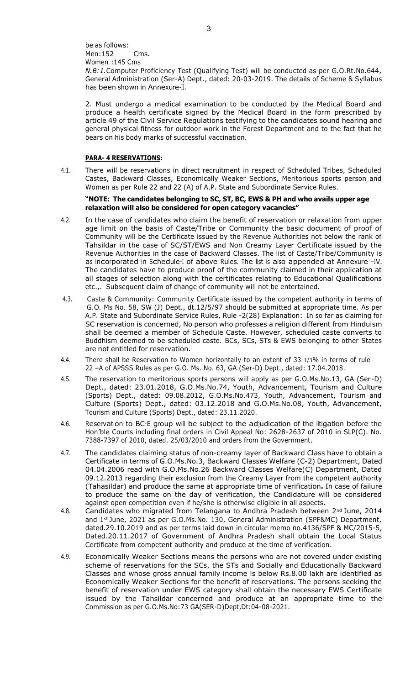be as follows: Men:152 Cms. Women :145 Cms *N.B:1.*Computer Proficiency Test (Qualifying Test) will be conducted as per G.O.Rt.No.644, General Administration (Ser-A) Dept., dated: 20-03-2019. The details of Scheme & Syllabus has been shown in Annexure-II.

2. Must undergo a medical examination to be conducted by the Medical Board and produce a health certificate signed by the Medical Board in the form prescribed by article 49 of the Civil Service Regulations testifying to the candidates sound hearing and general physical fitness for outdoor work in the Forest Department and to the fact that he bears on his body marks of successful vaccination.

#### **PARA- 4 RESERVATIONS:**

4.1. There will be reservations in direct recruitment in respect of Scheduled Tribes, Scheduled Castes, Backward Classes, Economically Weaker Sections, Meritorious sports person and Women as per Rule 22 and 22 (A) of A.P. State and Subordinate Service Rules.

#### **"NOTE: The candidates belonging to SC, ST, BC, EWS & PH and who avails upper age relaxation will also be considered for open category vacancies"**

- 4.2. In the case of candidates who claim the benefit of reservation or relaxation from upper age limit on the basis of Caste/Tribe or Community the basic document of proof of Community will be the Certificate issued by the Revenue Authorities not below the rank of Tahsildar in the case of SC/ST/EWS and Non Creamy Layer Certificate issued by the Revenue Authorities in the case of Backward Classes. The list of Caste/Tribe/Community is as incorporated in Schedule-I of above Rules. The list is also appended at Annexure –IV. The candidates have to produce proof of the community claimed in their application at all stages of selection along with the certificates relating to Educational Qualifications etc.,. Subsequent claim of change of community will not be entertained.
- 4.3. Caste & Community: Community Certificate issued by the competent authority in terms of G.O. Ms No. 58, SW (J) Dept., dt.12/5/97 should be submitted at appropriate time. As per A.P. State and Subordinate Service Rules, Rule -2(28) Explanation: In so far as claiming for SC reservation is concerned, No person who professes a religion different from Hinduism shall be deemed a member of Schedule Caste. However, scheduled caste converts to Buddhism deemed to be scheduled caste. BCs, SCs, STs & EWS belonging to other States are not entitled for reservation.
- 4.4. There shall be Reservation to Women horizontally to an extent of 33 1/3% in terms of rule 22 –A of APSSS Rules as per G.O. Ms. No. 63, GA (Ser-D) Dept., dated: 17.04.2018.
- 4.5. The reservation to meritorious sports persons will apply as per G.O.Ms.No.13, GA (Ser-D) Dept., dated: 23.01.2018, G.O.Ms.No.74, Youth, Advancement, Tourism and Culture (Sports) Dept., dated: 09.08.2012, G.O.Ms.No.473, Youth, Advancement, Tourism and Culture (Sports) Dept., dated: 03.12.2018 and G.O.Ms.No.08, Youth, Advancement, Tourism and Culture (Sports) Dept., dated: 23.11.2020.
- 4.6. Reservation to BC-E group will be subject to the adjudication of the litigation before the Hon'ble Courts including final orders in Civil Appeal No: 2628-2637 of 2010 in SLP(C). No. 7388-7397 of 2010, dated. 25/03/2010 and orders from the Government.
- 4.7. The candidates claiming status of non-creamy layer of Backward Class have to obtain a Certificate in terms of G.O.Ms.No.3, Backward Classes Welfare (C-2) Department, Dated 04.04.2006 read with G.O.Ms.No.26 Backward Classes Welfare(C) Department, Dated 09.12.2013 regarding their exclusion from the Creamy Layer from the competent authority (Tahasildar) and produce the same at appropriate time of verification**.** In case of failure to produce the same on the day of verification, the Candidature will be considered against open competition even if he/she is otherwise eligible in all aspects.
- 4.8. Candidates who migrated from Telangana to Andhra Pradesh between 2<sup>nd</sup> June, 2014 and 1st June, 2021 as per G.O.Ms.No. 130, General Administration (SPF&MC) Department, dated.29.10.2019 and as per terms laid down in circular memo no.4136/SPF & MC/2015-5, Dated.20.11.2017 of Government of Andhra Pradesh shall obtain the Local Status Certificate from competent authority and produce at the time of verification.
- 4.9. Economically Weaker Sections means the persons who are not covered under existing scheme of reservations for the SCs, the STs and Socially and Educationally Backward Classes and whose gross annual family income is below Rs.8.00 lakh are identified as Economically Weaker Sections for the benefit of reservations. The persons seeking the benefit of reservation under EWS category shall obtain the necessary EWS Certificate issued by the Tahsildar concerned and produce at an appropriate time to the Commission as per G.O.Ms.No:73 GA(SER-D)Dept,Dt:04-08-2021.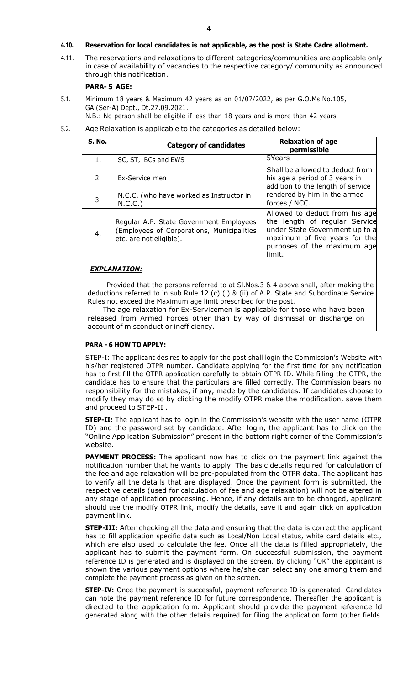#### **4.10. Reservation for local candidates is not applicable, as the post is State Cadre allotment.**

4.11. The reservations and relaxations to different categories/communities are applicable only in case of availability of vacancies to the respective category/ community as announced through this notification.

# **PARA- 5 AGE:**

5.1. Minimum 18 years & Maximum 42 years as on 01/07/2022, as per G.O.Ms.No.105, GA (Ser-A) Dept., Dt.27.09.2021.

N.B.: No person shall be eligible if less than 18 years and is more than 42 years.

5.2. Age Relaxation is applicable to the categories as detailed below:

| <b>S. No.</b> | <b>Category of candidates</b>                                                                                    | <b>Relaxation of age</b><br>permissible                                                                                                                                     |
|---------------|------------------------------------------------------------------------------------------------------------------|-----------------------------------------------------------------------------------------------------------------------------------------------------------------------------|
| 1.            | SC, ST, BCs and EWS                                                                                              | 5Years                                                                                                                                                                      |
| 2.            | Ex-Service men                                                                                                   | Shall be allowed to deduct from<br>his age a period of 3 years in<br>addition to the length of service                                                                      |
| 3.            | N.C.C. (who have worked as Instructor in<br>N.C.C.)                                                              | rendered by him in the armed<br>forces / NCC.                                                                                                                               |
| 4.            | Regular A.P. State Government Employees<br>(Employees of Corporations, Municipalities<br>etc. are not eligible). | Allowed to deduct from his age<br>the length of regular Service<br>under State Government up to a<br>maximum of five years for the<br>purposes of the maximum age<br>limit. |

#### *EXPLANATION:*

Provided that the persons referred to at Sl.Nos.3 & 4 above shall, after making the deductions referred to in sub Rule 12 (c) (i) & (ii) of A.P. State and Subordinate Service Rules not exceed the Maximum age limit prescribed for the post.

The age relaxation for Ex-Servicemen is applicable for those who have been released from Armed Forces other than by way of dismissal or discharge on account of misconduct or inefficiency.

#### **PARA - 6 HOW TO APPLY:**

STEP-I: The applicant desires to apply for the post shall login the Commission's Website with his/her registered OTPR number. Candidate applying for the first time for any notification has to first fill the OTPR application carefully to obtain OTPR ID. While filling the OTPR, the candidate has to ensure that the particulars are filled correctly. The Commission bears no responsibility for the mistakes, if any, made by the candidates. If candidates choose to modify they may do so by clicking the modify OTPR make the modification, save them and proceed to STEP-II .

**STEP-II:** The applicant has to login in the Commission's website with the user name (OTPR ID) and the password set by candidate. After login, the applicant has to click on the "Online Application Submission" present in the bottom right corner of the Commission's website.

**PAYMENT PROCESS:** The applicant now has to click on the payment link against the notification number that he wants to apply. The basic details required for calculation of the fee and age relaxation will be pre-populated from the OTPR data. The applicant has to verify all the details that are displayed. Once the payment form is submitted, the respective details (used for calculation of fee and age relaxation) will not be altered in any stage of application processing. Hence, if any details are to be changed, applicant should use the modify OTPR link, modify the details, save it and again click on application payment link.

**STEP-III:** After checking all the data and ensuring that the data is correct the applicant has to fill application specific data such as Local/Non Local status, white card details etc., which are also used to calculate the fee. Once all the data is filled appropriately, the applicant has to submit the payment form. On successful submission, the payment reference ID is generated and is displayed on the screen. By clicking "OK" the applicant is shown the various payment options where he/she can select any one among them and complete the payment process as given on the screen.

**STEP-IV:** Once the payment is successful, payment reference ID is generated. Candidates can note the payment reference ID for future correspondence. Thereafter the applicant is directed to the application form. Applicant should provide the payment reference Id generated along with the other details required for filing the application form (other fields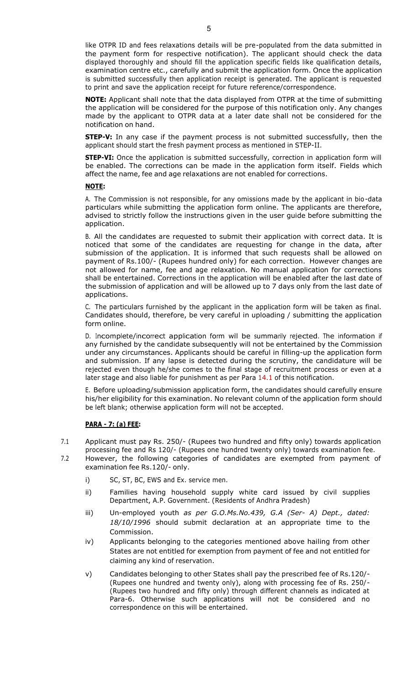like OTPR ID and fees relaxations details will be pre-populated from the data submitted in the payment form for respective notification). The applicant should check the data displayed thoroughly and should fill the application specific fields like qualification details, examination centre etc., carefully and submit the application form. Once the application is submitted successfully then application receipt is generated. The applicant is requested to print and save the application receipt for future reference/correspondence.

**NOTE:** Applicant shall note that the data displayed from OTPR at the time of submitting the application will be considered for the purpose of this notification only. Any changes made by the applicant to OTPR data at a later date shall not be considered for the notification on hand.

**STEP-V:** In any case if the payment process is not submitted successfully, then the applicant should start the fresh payment process as mentioned in STEP-II.

**STEP-VI:** Once the application is submitted successfully, correction in application form will be enabled. The corrections can be made in the application form itself. Fields which affect the name, fee and age relaxations are not enabled for corrections.

#### **NOTE:**

A. The Commission is not responsible, for any omissions made by the applicant in bio-data particulars while submitting the application form online. The applicants are therefore, advised to strictly follow the instructions given in the user guide before submitting the application.

B. All the candidates are requested to submit their application with correct data. It is noticed that some of the candidates are requesting for change in the data, after submission of the application. It is informed that such requests shall be allowed on payment of Rs.100/- (Rupees hundred only) for each correction. However changes are not allowed for name, fee and age relaxation. No manual application for corrections shall be entertained. Corrections in the application will be enabled after the last date of the submission of application and will be allowed up to 7 days only from the last date of applications.

C. The particulars furnished by the applicant in the application form will be taken as final. Candidates should, therefore, be very careful in uploading / submitting the application form online.

D. Incomplete/incorrect application form will be summarily rejected. The information if any furnished by the candidate subsequently will not be entertained by the Commission under any circumstances. Applicants should be careful in filling-up the application form and submission. If any lapse is detected during the scrutiny, the candidature will be rejected even though he/she comes to the final stage of recruitment process or even at a later stage and also liable for punishment as per Para 14.1 of this notification.

E. Before uploading/submission application form, the candidates should carefully ensure his/her eligibility for this examination. No relevant column of the application form should be left blank; otherwise application form will not be accepted.

#### **PARA - 7: (a) FEE:**

- 7.1 Applicant must pay Rs. 250/- (Rupees two hundred and fifty only) towards application processing fee and Rs 120/- (Rupees one hundred twenty only) towards examination fee.
- 7.2 However, the following categories of candidates are exempted from payment of examination fee Rs.120/- only.
	- i) SC, ST, BC, EWS and Ex. service men.
	- ii) Families having household supply white card issued by civil supplies Department, A.P. Government. (Residents of Andhra Pradesh)
	- iii) Un-employed youth *as per G.O.Ms.No.439, G.A (Ser- A) Dept., dated: 18/10/1996* should submit declaration at an appropriate time to the Commission.
	- iv) Applicants belonging to the categories mentioned above hailing from other States are not entitled for exemption from payment of fee and not entitled for claiming any kind of reservation.
	- v) Candidates belonging to other States shall pay the prescribed fee of Rs.120/- (Rupees one hundred and twenty only), along with processing fee of Rs. 250/- (Rupees two hundred and fifty only) through different channels as indicated at Para-6. Otherwise such applications will not be considered and no correspondence on this will be entertained.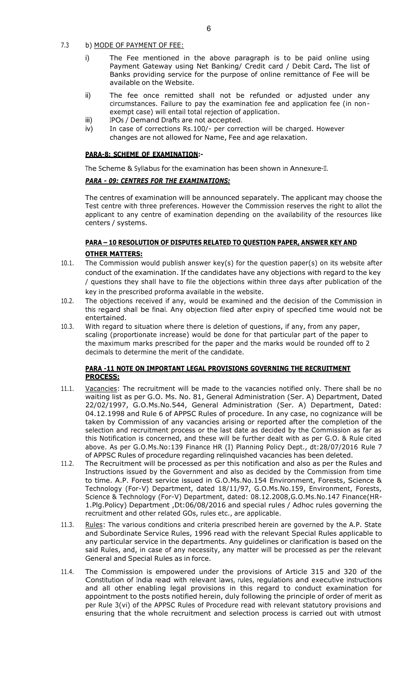7.3 b) MODE OF PAYMENT OF FEE:

- i) The Fee mentioned in the above paragraph is to be paid online using Payment Gateway using Net Banking/ Credit card / Debit Card**.** The list of Banks providing service for the purpose of online remittance of Fee will be available on the Website.
- ii) The fee once remitted shall not be refunded or adjusted under any circumstances. Failure to pay the examination fee and application fee (in nonexempt case) will entail total rejection of application.
- 
- iii) IPOs / Demand Drafts are not accepted.<br>iv) In case of corrections Rs.100/- per corre In case of corrections Rs.100/- per correction will be charged. However changes are not allowed for Name, Fee and age relaxation.

#### **PARA-8: SCHEME OF EXAMINATION:-**

The Scheme & Syllabus for the examination has been shown in Annexure-II.

# *PARA - 09: CENTRES FOR THE EXAMINATIONS:*

The centres of examination will be announced separately. The applicant may choose the Test centre with three preferences. However the Commission reserves the right to allot the applicant to any centre of examination depending on the availability of the resources like centers / systems.

# **PARA – 10 RESOLUTION OF DISPUTES RELATED TO QUESTION PAPER, ANSWER KEY AND OTHER MATTERS:**

- 10.1. The Commission would publish answer key(s) for the question paper(s) on its website after conduct of the examination. If the candidates have any objections with regard to the key / questions they shall have to file the objections within three days after publication of the key in the prescribed proforma available in the website.
- 10.2. The objections received if any, would be examined and the decision of the Commission in this regard shall be final. Any objection filed after expiry of specified time would not be entertained.
- 10.3. With regard to situation where there is deletion of questions, if any, from any paper, scaling (proportionate increase) would be done for that particular part of the paper to the maximum marks prescribed for the paper and the marks would be rounded off to 2 decimals to determine the merit of the candidate.

# **PARA -11 NOTE ON IMPORTANT LEGAL PROVISIONS GOVERNING THE RECRUITMENT PROCESS:**

- 11.1. Vacancies: The recruitment will be made to the vacancies notified only. There shall be no waiting list as per G.O. Ms. No. 81, General Administration (Ser. A) Department, Dated 22/02/1997, G.O.Ms.No.544, General Administration (Ser. A) Department, Dated: 04.12.1998 and Rule 6 of APPSC Rules of procedure. In any case, no cognizance will be taken by Commission of any vacancies arising or reported after the completion of the selection and recruitment process or the last date as decided by the Commission as far as this Notification is concerned, and these will be further dealt with as per G.O. & Rule cited above. As per G.O.Ms.No:139 Finance HR (I) Planning Policy Dept., dt:28/07/2016 Rule 7 of APPSC Rules of procedure regarding relinquished vacancies has been deleted.
- 11.2. The Recruitment will be processed as per this notification and also as per the Rules and Instructions issued by the Government and also as decided by the Commission from time to time. A.P. Forest service issued in G.O.Ms.No.154 Environment, Forests, Science & Technology (For-V) Department, dated 18/11/97, G.O.Ms.No.159, Environment, Forests, Science & Technology (For-V) Department, dated: 08.12.2008,G.O.Ms.No.147 Finance(HR-1.Plg.Policy) Department ,Dt:06/08/2016 and special rules / Adhoc rules governing the recruitment and other related GOs, rules etc., are applicable.
- 11.3. Rules: The various conditions and criteria prescribed herein are governed by the A.P. State and Subordinate Service Rules, 1996 read with the relevant Special Rules applicable to any particular service in the departments. Any guidelines or clarification is based on the said Rules, and, in case of any necessity, any matter will be processed as per the relevant General and Special Rules as in force.
- 11.4. The Commission is empowered under the provisions of Article 315 and 320 of the Constitution of India read with relevant laws, rules, regulations and executive instructions and all other enabling legal provisions in this regard to conduct examination for appointment to the posts notified herein, duly following the principle of order of merit as per Rule 3(vi) of the APPSC Rules of Procedure read with relevant statutory provisions and ensuring that the whole recruitment and selection process is carried out with utmost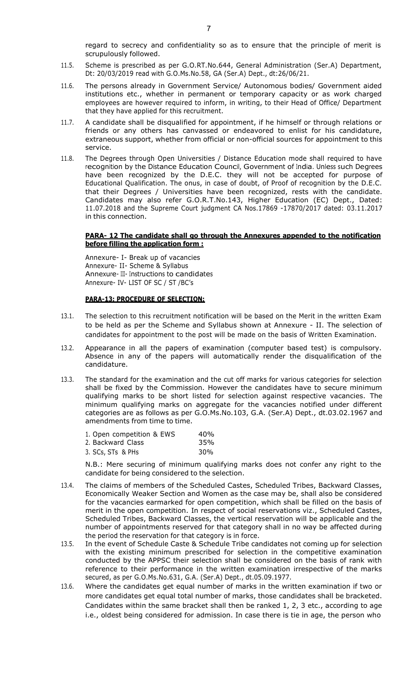regard to secrecy and confidentiality so as to ensure that the principle of merit is scrupulously followed.

- 11.5. Scheme is prescribed as per G.O.RT.No.644, General Administration (Ser.A) Department, Dt: 20/03/2019 read with G.O.Ms.No.58, GA (Ser.A) Dept., dt:26/06/21.
- 11.6. The persons already in Government Service/ Autonomous bodies/ Government aided institutions etc., whether in permanent or temporary capacity or as work charged employees are however required to inform, in writing, to their Head of Office/ Department that they have applied for this recruitment.
- 11.7. A candidate shall be disqualified for appointment, if he himself or through relations or friends or any others has canvassed or endeavored to enlist for his candidature, extraneous support, whether from official or non-official sources for appointment to this service.
- 11.8. The Degrees through Open Universities / Distance Education mode shall required to have recognition by the Distance Education Council, Government of India. Unless such Degrees have been recognized by the D.E.C. they will not be accepted for purpose of Educational Qualification. The onus, in case of doubt, of Proof of recognition by the D.E.C. that their Degrees / Universities have been recognized, rests with the candidate. Candidates may also refer G.O.R.T.No.143, Higher Education (EC) Dept., Dated: 11.07.2018 and the Supreme Court judgment CA Nos.17869 -17870/2017 dated: 03.11.2017 in this connection.

#### **PARA- 12 The candidate shall go through the Annexures appended to the notification before filling the application form :**

Annexure- I- Break up of vacancies Annexure- II- Scheme & Syllabus Annexure- III- Instructions to candidates Annexure- IV- LIST OF SC / ST /BC's

#### **PARA-13: PROCEDURE OF SELECTION:**

- 13.1. The selection to this recruitment notification will be based on the Merit in the written Exam to be held as per the Scheme and Syllabus shown at Annexure - II. The selection of candidates for appointment to the post will be made on the basis of Written Examination.
- 13.2. Appearance in all the papers of examination (computer based test) is compulsory. Absence in any of the papers will automatically render the disqualification of the candidature.
- 13.3. The standard for the examination and the cut off marks for various categories for selection shall be fixed by the Commission. However the candidates have to secure minimum qualifying marks to be short listed for selection against respective vacancies. The minimum qualifying marks on aggregate for the vacancies notified under different categories are as follows as per G.O.Ms.No.103, G.A. (Ser.A) Dept., dt.03.02.1967 and amendments from time to time.

| 1. Open competition & EWS | 40%             |
|---------------------------|-----------------|
| 2. Backward Class         | 35%             |
| 3. SCs, STs & PHs         | 30 <sub>%</sub> |

N.B.: Mere securing of minimum qualifying marks does not confer any right to the candidate for being considered to the selection.

- 13.4. The claims of members of the Scheduled Castes, Scheduled Tribes, Backward Classes, Economically Weaker Section and Women as the case may be, shall also be considered for the vacancies earmarked for open competition, which shall be filled on the basis of merit in the open competition. In respect of social reservations viz., Scheduled Castes, Scheduled Tribes, Backward Classes, the vertical reservation will be applicable and the number of appointments reserved for that category shall in no way be affected during the period the reservation for that category is in force.
- 13.5. In the event of Schedule Caste & Schedule Tribe candidates not coming up for selection with the existing minimum prescribed for selection in the competitive examination conducted by the APPSC their selection shall be considered on the basis of rank with reference to their performance in the written examination irrespective of the marks secured, as per G.O.Ms.No.631, G.A. (Ser.A) Dept., dt.05.09.1977.
- 13.6. Where the candidates get equal number of marks in the written examination if two or more candidates get equal total number of marks, those candidates shall be bracketed. Candidates within the same bracket shall then be ranked 1, 2, 3 etc., according to age i.e., oldest being considered for admission. In case there is tie in age, the person who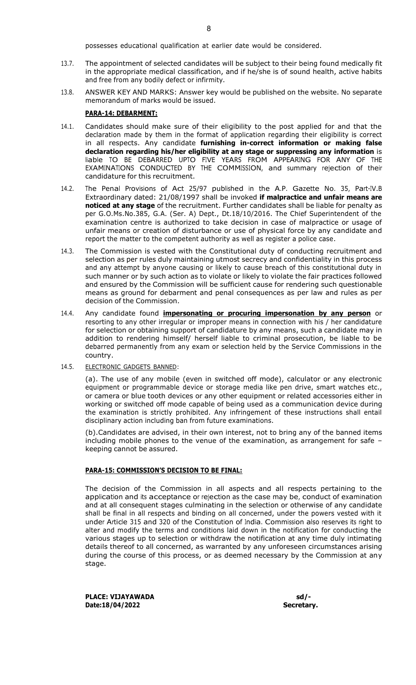possesses educational qualification at earlier date would be considered.

- 13.7. The appointment of selected candidates will be subject to their being found medically fit in the appropriate medical classification, and if he/she is of sound health, active habits and free from any bodily defect or infirmity.
- 13.8. ANSWER KEY AND MARKS: Answer key would be published on the website. No separate memorandum of marks would be issued.

#### **PARA-14: DEBARMENT:**

- 14.1. Candidates should make sure of their eligibility to the post applied for and that the declaration made by them in the format of application regarding their eligibility is correct in all respects. Any candidate **furnishing in-correct information or making false declaration regarding his/her eligibility at any stage or suppressing any information** is liable TO BE DEBARRED UPTO FIVE YEARS FROM APPEARING FOR ANY OF THE EXAMINATIONS CONDUCTED BY THE COMMISSION, and summary rejection of their candidature for this recruitment.
- 14.2. The Penal Provisions of Act 25/97 published in the A.P. Gazette No. 35, Part-IV.B Extraordinary dated: 21/08/1997 shall be invoked **if malpractice and unfair means are noticed at any stage** of the recruitment. Further candidates shall be liable for penalty as per G.O.Ms.No.385, G.A. (Ser. A) Dept., Dt.18/10/2016. The Chief Superintendent of the examination centre is authorized to take decision in case of malpractice or usage of unfair means or creation of disturbance or use of physical force by any candidate and report the matter to the competent authority as well as register a police case.
- 14.3. The Commission is vested with the Constitutional duty of conducting recruitment and selection as per rules duly maintaining utmost secrecy and confidentiality in this process and any attempt by anyone causing or likely to cause breach of this constitutional duty in such manner or by such action as to violate or likely to violate the fair practices followed and ensured by the Commission will be sufficient cause for rendering such questionable means as ground for debarment and penal consequences as per law and rules as per decision of the Commission.
- 14.4. Any candidate found **impersonating or procuring impersonation by any person** or resorting to any other irregular or improper means in connection with his / her candidature for selection or obtaining support of candidature by any means, such a candidate may in addition to rendering himself/ herself liable to criminal prosecution, be liable to be debarred permanently from any exam or selection held by the Service Commissions in the country.
- 14.5. **ELECTRONIC GADGETS BANNED:**

(a). The use of any mobile (even in switched off mode), calculator or any electronic equipment or programmable device or storage media like pen drive, smart watches etc., or camera or blue tooth devices or any other equipment or related accessories either in working or switched off mode capable of being used as a communication device during the examination is strictly prohibited. Any infringement of these instructions shall entail disciplinary action including ban from future examinations.

(b).Candidates are advised, in their own interest, not to bring any of the banned items including mobile phones to the venue of the examination, as arrangement for safe – keeping cannot be assured.

#### **PARA-15: COMMISSION'S DECISION TO BE FINAL:**

The decision of the Commission in all aspects and all respects pertaining to the application and its acceptance or rejection as the case may be, conduct of examination and at all consequent stages culminating in the selection or otherwise of any candidate shall be final in all respects and binding on all concerned, under the powers vested with it under Article 315 and 320 of the Constitution of India. Commission also reserves its right to alter and modify the terms and conditions laid down in the notification for conducting the various stages up to selection or withdraw the notification at any time duly intimating details thereof to all concerned, as warranted by any unforeseen circumstances arising during the course of this process, or as deemed necessary by the Commission at any stage.

PLACE: VIJAYAWADA sd/-**Date:18/04/2022 Secretary.**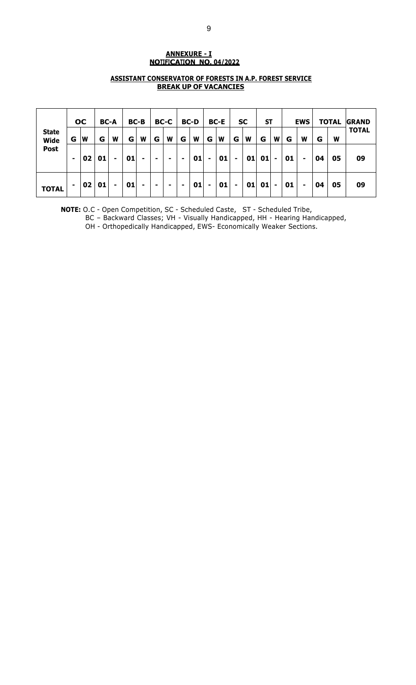# **ANNEXURE - I NOTIFICATION NO. 04/2022**

# **ASSISTANT CONSERVATOR OF FORESTS IN A.P. FOREST SERVICE BREAK UP OF VACANCIES**

|                             |   | <b>OC</b> |    | <b>BC-A</b>    |    | <b>BC-B</b> |   | <b>BC-C</b> |                | <b>BC-D</b> |   | BC-E |    | <b>SC</b> | <b>ST</b> |                |    | <b>EWS</b> |    | <b>TOTAL</b> | <b>GRAND</b> |
|-----------------------------|---|-----------|----|----------------|----|-------------|---|-------------|----------------|-------------|---|------|----|-----------|-----------|----------------|----|------------|----|--------------|--------------|
| <b>State</b><br><b>Wide</b> | G | ΙW        | G  | W              | G  | W           | G | W           | G              | W           | G | W    | G  | W         | G         | W              | G  | W          | G  | W            | <b>TOTAL</b> |
| <b>Post</b>                 |   | <b>02</b> | 01 | -              | 01 | ۰           | - |             | $\blacksquare$ | 01          | ۰ | 01   |    | 01        | 01        | ٠              | 01 | ۰          | 04 | 05           | 09           |
| <b>TOTAL</b>                | ۰ | <b>02</b> | 01 | $\blacksquare$ | 01 |             | ۰ | ۰           | ۰              | 01          | ۰ | 01   | ۰. | 01        | 01        | $\blacksquare$ | 01 |            | 04 | 05           | 09           |

**NOTE:** O.C - Open Competition, SC - Scheduled Caste, ST - Scheduled Tribe,

BC – Backward Classes; VH - Visually Handicapped, HH - Hearing Handicapped,

OH - Orthopedically Handicapped, EWS- Economically Weaker Sections.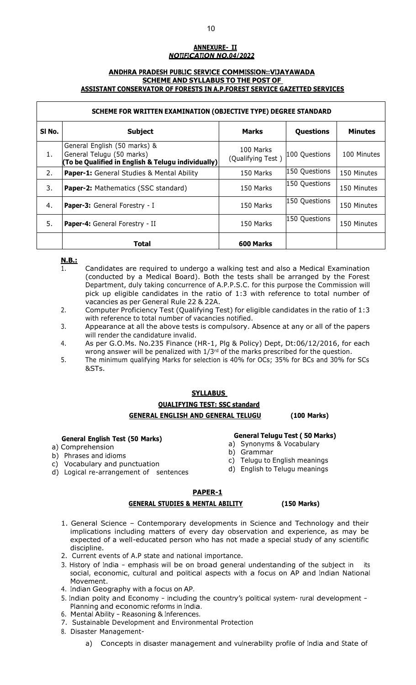# **ANNEXURE- II** *NOTIFICATION NO.04/2022*

#### **ANDHRA PRADESH PUBLIC SERVICE COMMISSION::VIJAYAWADA SCHEME AND SYLLABUS TO THE POST OF ASSISTANT CONSERVATOR OF FORESTS IN A.P.FOREST SERVICE GAZETTED SERVICES**

### **SCHEME FOR WRITTEN EXAMINATION (OBJECTIVE TYPE) DEGREE STANDARD**

| SI No. | <b>Subject</b>                                                                                                  | <b>Marks</b>                   | Questions     | <b>Minutes</b> |
|--------|-----------------------------------------------------------------------------------------------------------------|--------------------------------|---------------|----------------|
| 1.     | General English (50 marks) &<br>General Telugu (50 marks)<br>(To be Qualified in English & Telugu individually) | 100 Marks<br>(Qualifying Test) | 100 Questions | 100 Minutes    |
| 2.     | <b>Paper-1:</b> General Studies & Mental Ability                                                                | 150 Marks                      | 150 Questions | 150 Minutes    |
| 3.     | <b>Paper-2: Mathematics (SSC standard)</b>                                                                      | 150 Marks                      | 150 Questions | 150 Minutes    |
| 4.     | Paper-3: General Forestry - I                                                                                   | 150 Marks                      | 150 Questions | 150 Minutes    |
| 5.     | Paper-4: General Forestry - II                                                                                  | 150 Marks                      | 150 Questions | 150 Minutes    |
|        | <b>Total</b>                                                                                                    | 600 Marks                      |               |                |

#### **N.B.:**

- 1. Candidates are required to undergo a walking test and also a Medical Examination (conducted by a Medical Board). Both the tests shall be arranged by the Forest Department, duly taking concurrence of A.P.P.S.C. for this purpose the Commission will pick up eligible candidates in the ratio of 1:3 with reference to total number of vacancies as per General Rule 22 & 22A.
- 2. Computer Proficiency Test (Qualifying Test) for eligible candidates in the ratio of 1:3 with reference to total number of vacancies notified.
- 3. Appearance at all the above tests is compulsory. Absence at any or all of the papers will render the candidature invalid.
- 4. As per G.O.Ms. No.235 Finance (HR-1, Plg & Policy) Dept, Dt:06/12/2016, for each wrong answer will be penalized with  $1/3<sup>rd</sup>$  of the marks prescribed for the question.
- 5. The minimum qualifying Marks for selection is 40% for OCs; 35% for BCs and 30% for SCs &STs.

# **SYLLABUS QUALIFYING TEST: SSC standard GENERAL ENGLISH AND GENERAL TELUGU (100 Marks)**

#### **General English Test (50 Marks)**

- a) Comprehension
- b) Phrases and idioms
- c) Vocabulary and punctuation
- d) Logical re-arrangement of sentences

#### **General Telugu Test ( 50 Marks)**

- a) Synonyms & Vocabulary
- b) Grammar
- c) Telugu to English meanings
- d) English to Telugu meanings

## **PAPER-1**

#### **GENERAL STUDIES & MENTAL ABILITY (150 Marks)**

- 1. General Science Contemporary developments in Science and Technology and their implications including matters of every day observation and experience, as may be expected of a well-educated person who has not made a special study of any scientific discipline.
- 2. Current events of A.P state and national importance.
- 3. History of India emphasis will be on broad general understanding of the subject in its social, economic, cultural and political aspects with a focus on AP and Indian National Movement.
- 4. Indian Geography with a focus on AP.
- 5. Indian polity and Economy including the country'<sup>s</sup> political system- rural development Planning and economic reforms in India.
- 6. Mental Ability Reasoning & Inferences.
- 7. Sustainable Development and Environmental Protection
- 8. Disaster Management
	- a) Concepts in disaster management and vulnerability profile of India and State of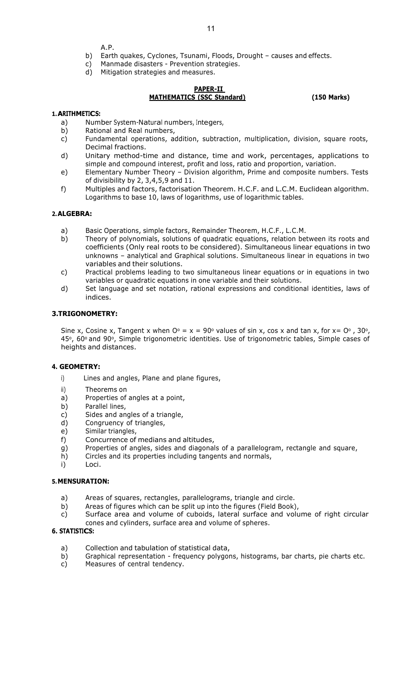A.P.

- b) Earth quakes, Cyclones, Tsunami, Floods, Drought causes and effects.
- c) Manmade disasters Prevention strategies.
- d) Mitigation strategies and measures.

# **PAPER-II MATHEMATICS (SSC Standard) (150 Marks)**

#### **1.ARITHMETICS:**

- a) Number System-Natural numbers, Integers,
- b) Rational and Real numbers,
- c) Fundamental operations, addition, subtraction, multiplication, division, square roots, Decimal fractions.
- d) Unitary method-time and distance, time and work, percentages, applications to simple and compound interest, profit and loss, ratio and proportion, variation.
- e) Elementary Number Theory Division algorithm, Prime and composite numbers. Tests of divisibility by 2, 3,4,5,9 and 11.
- f) Multiples and factors, factorisation Theorem. H.C.F. and L.C.M. Euclidean algorithm. Logarithms to base 10, laws of logarithms, use of logarithmic tables.

#### **2.ALGEBRA:**

- a) Basic Operations, simple factors, Remainder Theorem, H.C.F., L.C.M.
- b) Theory of polynomials, solutions of quadratic equations, relation between its roots and coefficients (Only real roots to be considered). Simultaneous linear equations in two unknowns – analytical and Graphical solutions. Simultaneous linear in equations in two variables and their solutions.
- c) Practical problems leading to two simultaneous linear equations or in equations in two variables or quadratic equations in one variable and their solutions.
- d) Set language and set notation, rational expressions and conditional identities, laws of indices.

# **3.TRIGONOMETRY:**

Sine x, Cosine x, Tangent x when  $O^{\circ} = x = 90^{\circ}$  values of sin x, cos x and tan x, for x=  $O^{\circ}$ , 30°, 45°, 60° and 90°, Simple trigonometric identities. Use of trigonometric tables, Simple cases of heights and distances.

#### **4. GEOMETRY:**

- i) Lines and angles, Plane and plane figures,
- ii) Theorems on
- a) Properties of angles at a point,
- b) Parallel lines,
- c) Sides and angles of a triangle,
- d) Congruency of triangles,
- e) Similar triangles,
- f) Concurrence of medians and altitudes,
- g) Properties of angles, sides and diagonals of a parallelogram, rectangle and square,
- h) Circles and its properties including tangents and normals,
- i) Loci.

# **5.MENSURATION:**

- a) Areas of squares, rectangles, parallelograms, triangle and circle.
- b) Areas of figures which can be split up into the figures (Field Book),
- c) Surface area and volume of cuboids, lateral surface and volume of right circular cones and cylinders, surface area and volume of spheres.

# **6. STATISTICS:**

- a) Collection and tabulation of statistical data,
- b) Graphical representation frequency polygons, histograms, bar charts, pie charts etc.<br>c) Measures of central tendency.
- Measures of central tendency.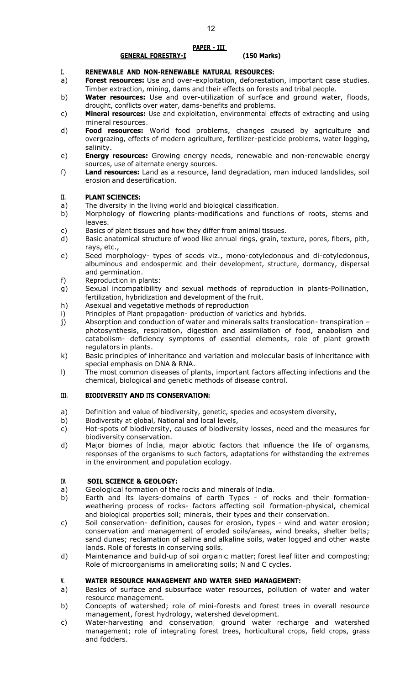#### **PAPER - III**

#### **GENERAL FORESTRY-I (150 Marks)**

#### **I. RENEWABLE AND NON-RENEWABLE NATURAL RESOURCES:**

- a) **Forest resources:** Use and over-exploitation, deforestation, important case studies. Timber extraction, mining, dams and their effects on forests and tribal people.
- b) **Water resources:** Use and over-utilization of surface and ground water, floods, drought, conflicts over water, dams-benefits and problems.
- c) **Mineral resources:** Use and exploitation, environmental effects of extracting and using mineral resources.
- d) **Food resources:** World food problems, changes caused by agriculture and overgrazing, effects of modern agriculture, fertilizer-pesticide problems, water logging, salinity.
- e) **Energy resources:** Growing energy needs, renewable and non-renewable energy sources, use of alternate energy sources.
- f) **Land resources:** Land as a resource, land degradation, man induced landslides, soil erosion and desertification.

#### **II. PLANT SCIENCES:**

- a) The diversity in the living world and biological classification.
- b) Morphology of flowering plants-modifications and functions of roots, stems and leaves.
- c) Basics of plant tissues and how they differ from animal tissues.
- d) Basic anatomical structure of wood like annual rings, grain, texture, pores, fibers, pith, rays, etc.,
- e) Seed morphology- types of seeds viz., mono-cotyledonous and di-cotyledonous, albuminous and endospermic and their development, structure, dormancy, dispersal and germination.
- f) Reproduction in plants:
- g) Sexual incompatibility and sexual methods of reproduction in plants-Pollination, fertilization, hybridization and development of the fruit.
- h) Asexual and vegetative methods of reproduction
- i) Principles of Plant propagation- production of varieties and hybrids.
- j) Absorption and conduction of water and minerals salts translocation- transpiration photosynthesis, respiration, digestion and assimilation of food, anabolism and catabolism- deficiency symptoms of essential elements, role of plant growth regulators in plants.
- k) Basic principles of inheritance and variation and molecular basis of inheritance with special emphasis on DNA & RNA.
- l) The most common diseases of plants, important factors affecting infections and the chemical, biological and genetic methods of disease control.

#### **III. BIODIVERSITY AND ITS CONSERVATION:**

- a) Definition and value of biodiversity, genetic, species and ecosystem diversity,
- b) Biodiversity at global, National and local levels,
- c) Hot-spots of biodiversity, causes of biodiversity losses, need and the measures for biodiversity conservation.
- d) Major biomes of India, major abiotic factors that influence the life of organisms, responses of the organisms to such factors, adaptations for withstanding the extremes in the environment and population ecology.

#### **IV. SOIL SCIENCE & GEOLOGY:**

- a) Geological formation of the rocks and minerals of India.<br>b) Earth and its layers-domains of earth Types of r
- Earth and its layers-domains of earth Types of rocks and their formationweathering process of rocks- factors affecting soil formation-physical, chemical and biological properties soil; minerals, their types and their conservation.
- c) Soil conservation- definition, causes for erosion, types wind and water erosion; conservation and management of eroded soils/areas, wind breaks, shelter belts; sand dunes; reclamation of saline and alkaline soils, water logged and other waste lands. Role of forests in conserving soils.
- d) Maintenance and build-up of soil organic matter; forest leaf litter and composting; Role of microorganisms in ameliorating soils; N and C cycles.

#### **V. WATER RESOURCE MANAGEMENT AND WATER SHED MANAGEMENT:**

- a) Basics of surface and subsurface water resources, pollution of water and water resource management.
- b) Concepts of watershed; role of mini-forests and forest trees in overall resource management, forest hydrology, watershed development.
- c) Water-harvesting and conservation; ground water recharge and watershed management; role of integrating forest trees, horticultural crops, field crops, grass and fodders.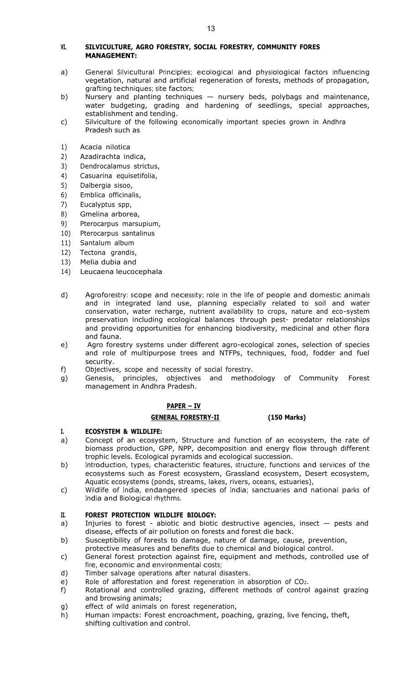#### **VI. SILVICULTURE, AGRO FORESTRY, SOCIAL FORESTRY, COMMUNITY FORES MANAGEMENT:**

- a) General Silvicultural Principles; ecological and physiological factors influencing vegetation, natural and artificial regeneration of forests, methods of propagation, grafting techniques; site factors;
- b) Nursery and planting techniques nursery beds, polybags and maintenance, water budgeting, grading and hardening of seedlings, special approaches, establishment and tending.
- c) Silviculture of the following economically important species grown in Andhra Pradesh such as
- 1) Acacia nilotica
- 2) Azadirachta indica,
- 3) Dendrocalamus strictus,
- 4) Casuarina equisetifolia,
- 5) Dalbergia sisoo,
- 6) Emblica officinalis,
- 7) Eucalyptus spp,
- 8) Gmelina arborea,
- 9) Pterocarpus marsupium,
- 10) Pterocarpus santalinus
- 11) Santalum album
- 12) Tectona grandis,
- 13) Melia dubia and
- 14) Leucaena leucocephala
- d) Agroforestry: scope and necessity; role in the life of people and domestic animals and in integrated land use, planning especially related to soil and water conservation, water recharge, nutrient availability to crops, nature and eco-system preservation including ecological balances through pest- predator relationships and providing opportunities for enhancing biodiversity, medicinal and other flora and fauna.
- e) Agro forestry systems under different agro-ecological zones, selection of species and role of multipurpose trees and NTFPs, techniques, food, fodder and fuel security.
- f) Objectives, scope and necessity of social forestry.
- g) Genesis, principles, objectives and methodology of Community Forest management in Andhra Pradesh.

# **PAPER – IV**

#### **GENERAL FORESTRY-II (150 Marks)**

#### **I. ECOSYSTEM & WILDLIFE:**

- a) Concept of an ecosystem, Structure and function of an ecosystem, the rate of biomass production, GPP, NPP, decomposition and energy flow through different trophic levels. Ecological pyramids and ecological succession.
- b) Introduction, types, characteristic features, structure, functions and services of the ecosystems such as Forest ecosystem, Grassland ecosystem, Desert ecosystem, Aquatic ecosystems (ponds, streams, lakes, rivers, oceans, estuaries),
- c) Wildlife of India, endangered species of India; sanctuaries and national parks of India and Biological rhythms.

#### **II. FOREST PROTECTION WILDLIFE BIOLOGY:**

- a) Injuries to forest abiotic and biotic destructive agencies, insect pests and disease, effects of air pollution on forests and forest die back.
- b) Susceptibility of forests to damage, nature of damage, cause, prevention,
- protective measures and benefits due to chemical and biological control.
- c) General forest protection against fire, equipment and methods, controlled use of fire, economic and environmental costs;
- d) Timber salvage operations after natural disasters.
- e) Role of afforestation and forest regeneration in absorption of CO<sub>2</sub>.<br>f) Rotational and controlled grazing, different methods of control
- Rotational and controlled grazing, different methods of control against grazing and browsing animals;
- g) effect of wild animals on forest regeneration,
- h) Human impacts: Forest encroachment, poaching, grazing, live fencing, theft, shifting cultivation and control.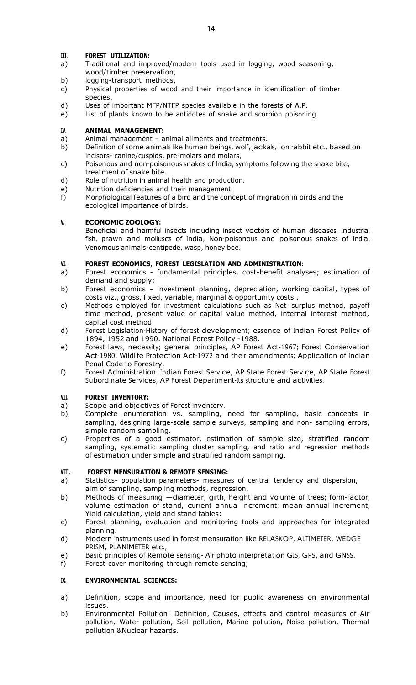# **III. FOREST UTILIZATION:**

- a) Traditional and improved/modern tools used in logging, wood seasoning, wood/timber preservation,
- b) logging-transport methods,
- c) Physical properties of wood and their importance in identification of timber species.
- d) Uses of important MFP/NTFP species available in the forests of A.P.
- e) List of plants known to be antidotes of snake and scorpion poisoning.

### **IV. ANIMAL MANAGEMENT:**

- a) Animal management animal ailments and treatments.
- b) Definition of some animals like human beings, wolf, jackals, lion rabbit etc., based on incisors- canine/cuspids, pre-molars and molars,
- c) Poisonous and non-poisonous snakes of India, symptoms following the snake bite, treatment of snake bite.
- d) Role of nutrition in animal health and production.
- 
- e) Nutrition deficiencies and their management.<br>
f) Morphological features of a bird and the cond Morphological features of a bird and the concept of migration in birds and the ecological importance of birds.

# **V. ECONOMIC ZOOLOGY:**

Beneficial and harmful insects including insect vectors of human diseases, Industrial fish, prawn and molluscs of India, Non-poisonous and poisonous snakes of India, Venomous animals-centipede, wasp, honey bee.

# **VI. FOREST ECONOMICS, FOREST LEGISLATION AND ADMINISTRATION:**

- a) Forest economics fundamental principles, cost-benefit analyses; estimation of demand and supply;
- b) Forest economics investment planning, depreciation, working capital, types of costs viz., gross, fixed, variable, marginal & opportunity costs.,
- c) Methods employed for investment calculations such as Net surplus method, payoff time method, present value or capital value method, internal interest method, capital cost method.
- d) Forest Legislation-History of forest development; essence of Indian Forest Policy of 1894, 1952 and 1990. National Forest Policy -1988.
- e) Forest laws, necessity; general principles, AP Forest Act-1967; Forest Conservation Act-1980; Wildlife Protection Act-1972 and their amendments; Application of Indian Penal Code to Forestry.
- f) Forest Administration: Indian Forest Service, AP State Forest Service, AP State Forest Subordinate Services, AP Forest Department-Its structure and activities.

#### **VII. FOREST INVENTORY:**

- 
- a) Scope and objectives of Forest inventory.<br>b) Complete enumeration vs. sampling, Complete enumeration vs. sampling, need for sampling, basic concepts in sampling, designing large-scale sample surveys, sampling and non- sampling errors, simple random sampling.
- c) Properties of a good estimator, estimation of sample size, stratified random sampling, systematic sampling cluster sampling, and ratio and regression methods of estimation under simple and stratified random sampling.

#### **VIII. FOREST MENSURATION & REMOTE SENSING:**

- a) Statistics- population parameters- measures of central tendency and dispersion, aim of sampling, sampling methods, regression.
- b) Methods of measuring —diameter, girth, height and volume of trees; form-factor; volume estimation of stand, current annual increment; mean annual increment, Yield calculation, yield and stand tables:
- c) Forest planning, evaluation and monitoring tools and approaches for integrated planning.
- d) Modern instruments used in forest mensuration like RELASKOP, ALTIMETER, WEDGE PRISM, PLANIMETER etc.,
- e) Basic principles of Remote sensing- Air photo interpretation GIS, GPS, and GNSS.<br>f) Forest cover monitoring through remote sensing;
- Forest cover monitoring through remote sensing;

# **IX. ENVIRONMENTAL SCIENCES:**

- a) Definition, scope and importance, need for public awareness on environmental issues.
- b) Environmental Pollution: Definition, Causes, effects and control measures of Air pollution, Water pollution, Soil pollution, Marine pollution, Noise pollution, Thermal pollution &Nuclear hazards.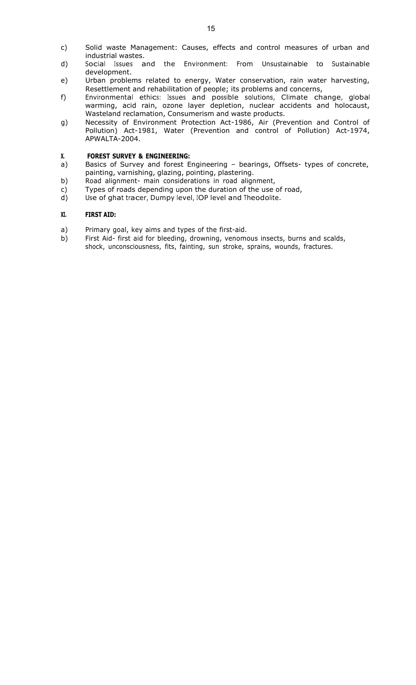- c) Solid waste Management: Causes, effects and control measures of urban and industrial wastes.
- d) Social Issues and the Environment: From Unsustainable to Sustainable development.
- e) Urban problems related to energy, Water conservation, rain water harvesting, Resettlement and rehabilitation of people; its problems and concerns,
- f) Environmental ethics: Issues and possible solutions, Climate change, global warming, acid rain, ozone layer depletion, nuclear accidents and holocaust, Wasteland reclamation, Consumerism and waste products.
- g) Necessity of Environment Protection Act-1986, Air (Prevention and Control of Pollution) Act-1981, Water (Prevention and control of Pollution) Act-1974, APWALTA-2004.

# **X. FOREST SURVEY & ENGINEERING:**

- a) Basics of Survey and forest Engineering bearings, Offsets- types of concrete, painting, varnishing, glazing, pointing, plastering.
- b) Road alignment- main considerations in road alignment,
- c) Types of roads depending upon the duration of the use of road,
- d) Use of ghat tracer, Dumpy level, IOP level and Theodolite.

#### **XI. FIRST AID:**

- a) Primary goal, key aims and types of the first-aid.
- b) First Aid- first aid for bleeding, drowning, venomous insects, burns and scalds, shock, unconsciousness, fits, fainting, sun stroke, sprains, wounds, fractures.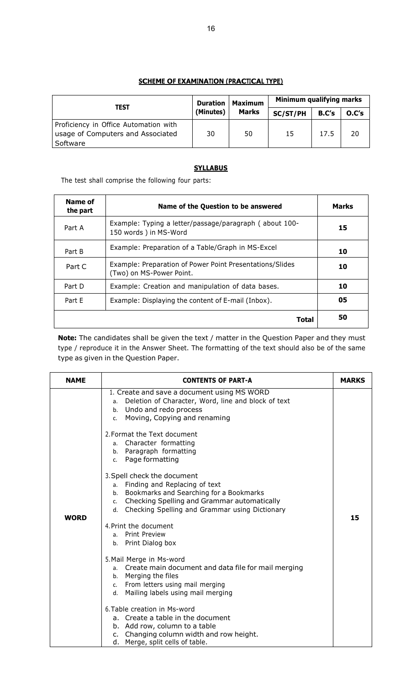# **SCHEME OF EXAMINATION (PRACTICAL TYPE)**

| <b>TEST</b>                                                                            | <b>Duration</b> | <b>Maximum</b> | Minimum qualifying marks |                       |    |  |  |
|----------------------------------------------------------------------------------------|-----------------|----------------|--------------------------|-----------------------|----|--|--|
|                                                                                        | (Minutes)       | <b>Marks</b>   | SC/ST/PH                 | O.C's<br><b>B.C's</b> |    |  |  |
| Proficiency in Office Automation with<br>usage of Computers and Associated<br>Software | 30              | 50             | 15                       | 17.5                  | 20 |  |  |

# **SYLLABUS**

The test shall comprise the following four parts:

| Name of<br>the part | Name of the Question to be answered                                                  | <b>Marks</b> |
|---------------------|--------------------------------------------------------------------------------------|--------------|
| Part A              | Example: Typing a letter/passage/paragraph (about 100-<br>150 words) in MS-Word      | 15           |
| Part B              | Example: Preparation of a Table/Graph in MS-Excel                                    | 10           |
| Part C              | Example: Preparation of Power Point Presentations/Slides<br>(Two) on MS-Power Point. | 10           |
| Part D              | Example: Creation and manipulation of data bases.                                    | 10           |
| Part E              | Example: Displaying the content of E-mail (Inbox).                                   | 05           |
|                     | Total                                                                                | 50           |

**Note:** The candidates shall be given the text / matter in the Question Paper and they must type / reproduce it in the Answer Sheet. The formatting of the text should also be of the same type as given in the Question Paper.

| <b>NAME</b> | <b>CONTENTS OF PART-A</b>                                                                                                                                                                                                                                                                                                                                                                                                                                                                                                                                                                                                                    | <b>MARKS</b> |
|-------------|----------------------------------------------------------------------------------------------------------------------------------------------------------------------------------------------------------------------------------------------------------------------------------------------------------------------------------------------------------------------------------------------------------------------------------------------------------------------------------------------------------------------------------------------------------------------------------------------------------------------------------------------|--------------|
| <b>WORD</b> | 1. Create and save a document using MS WORD<br>Deletion of Character, Word, line and block of text<br>а. –<br>b. Undo and redo process<br>Moving, Copying and renaming<br>$c_{\rm}$<br>2. Format the Text document<br>Character formatting<br>a.<br>b. Paragraph formatting<br>c. Page formatting<br>3. Spell check the document<br>Finding and Replacing of text<br>a.<br>Bookmarks and Searching for a Bookmarks<br>b.<br>Checking Spelling and Grammar automatically<br>c.<br>d. Checking Spelling and Grammar using Dictionary<br>4. Print the document<br><b>Print Preview</b><br>a.<br>b. Print Dialog box<br>5. Mail Merge in Ms-word | 15           |
|             | Create main document and data file for mail merging<br>a.<br>b. Merging the files<br>From letters using mail merging<br>C.<br>d. Mailing labels using mail merging                                                                                                                                                                                                                                                                                                                                                                                                                                                                           |              |
|             | 6. Table creation in Ms-word<br>a. Create a table in the document<br>b. Add row, column to a table<br>Changing column width and row height.<br>c.<br>d. Merge, split cells of table.                                                                                                                                                                                                                                                                                                                                                                                                                                                         |              |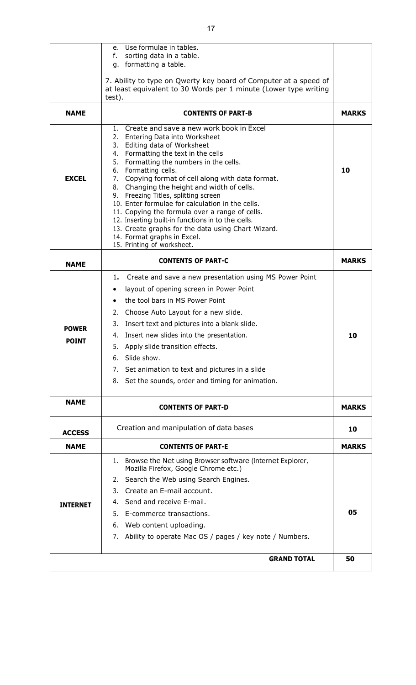|               | e. Use formulae in tables.                                                                           |              |
|---------------|------------------------------------------------------------------------------------------------------|--------------|
|               | sorting data in a table.<br>f.                                                                       |              |
|               | g. formatting a table.                                                                               |              |
|               | 7. Ability to type on Qwerty key board of Computer at a speed of                                     |              |
|               | at least equivalent to 30 Words per 1 minute (Lower type writing                                     |              |
|               | test).                                                                                               |              |
| <b>NAME</b>   | <b>CONTENTS OF PART-B</b>                                                                            | <b>MARKS</b> |
|               | 1. Create and save a new work book in Excel                                                          |              |
|               | 2. Entering Data into Worksheet                                                                      |              |
|               | 3. Editing data of Worksheet                                                                         |              |
|               | 4. Formatting the text in the cells<br>5. Formatting the numbers in the cells.                       |              |
|               | 6. Formatting cells.                                                                                 | 10           |
| <b>EXCEL</b>  | 7. Copying format of cell along with data format.                                                    |              |
|               | 8. Changing the height and width of cells.                                                           |              |
|               | 9. Freezing Titles, splitting screen<br>10. Enter formulae for calculation in the cells.             |              |
|               | 11. Copying the formula over a range of cells.                                                       |              |
|               | 12. Inserting built-in functions in to the cells.                                                    |              |
|               | 13. Create graphs for the data using Chart Wizard.                                                   |              |
|               | 14. Format graphs in Excel.<br>15. Printing of worksheet.                                            |              |
|               |                                                                                                      |              |
| <b>NAME</b>   | <b>CONTENTS OF PART-C</b>                                                                            | <b>MARKS</b> |
|               | 1. Create and save a new presentation using MS Power Point                                           |              |
|               | layout of opening screen in Power Point                                                              |              |
|               | the tool bars in MS Power Point<br>$\bullet$                                                         |              |
|               | Choose Auto Layout for a new slide.<br>2.                                                            |              |
|               | Insert text and pictures into a blank slide.<br>3.                                                   |              |
| <b>POWER</b>  | 4. Insert new slides into the presentation.                                                          | 10           |
| <b>POINT</b>  | Apply slide transition effects.<br>5.                                                                |              |
|               | Slide show.<br>6.                                                                                    |              |
|               |                                                                                                      |              |
|               | Set animation to text and pictures in a slide<br>7.                                                  |              |
|               | Set the sounds, order and timing for animation.<br>8.                                                |              |
| <b>NAME</b>   | <b>CONTENTS OF PART-D</b>                                                                            | <b>MARKS</b> |
|               |                                                                                                      |              |
| <b>ACCESS</b> | Creation and manipulation of data bases                                                              | 10           |
| <b>NAME</b>   | <b>CONTENTS OF PART-E</b>                                                                            | <b>MARKS</b> |
|               | 1. Browse the Net using Browser software (Internet Explorer,<br>Mozilla Firefox, Google Chrome etc.) |              |
|               | 2. Search the Web using Search Engines.                                                              |              |
|               |                                                                                                      |              |
|               | Create an E-mail account.<br>3.                                                                      |              |
| INTERNET      | 4. Send and receive E-mail.                                                                          |              |
|               | 5. E-commerce transactions.                                                                          | 05           |
|               | Web content uploading.<br>6.                                                                         |              |
|               | Ability to operate Mac OS / pages / key note / Numbers.<br>7.                                        |              |
|               | <b>GRAND TOTAL</b>                                                                                   | 50           |
|               |                                                                                                      |              |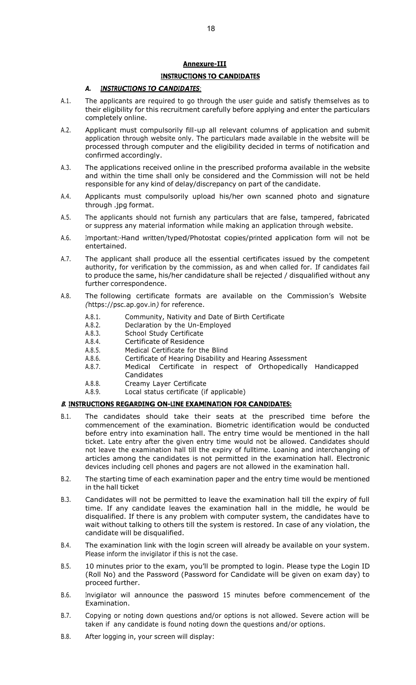# **Annexure-III**

# **INSTRUCTIONS TO CANDIDATES**

#### *A. INSTRUCTIONS TO CANDIDATES:*

- A.1. The applicants are required to go through the user guide and satisfy themselves as to their eligibility for this recruitment carefully before applying and enter the particulars completely online.
- A.2. Applicant must compulsorily fill-up all relevant columns of application and submit application through website only. The particulars made available in the website will be processed through computer and the eligibility decided in terms of notification and confirmed accordingly.
- A.3. The applications received online in the prescribed proforma available in the website and within the time shall only be considered and the Commission will not be held responsible for any kind of delay/discrepancy on part of the candidate.
- A.4. Applicants must compulsorily upload his/her own scanned photo and signature through .jpg format.
- A.5. The applicants should not furnish any particulars that are false, tampered, fabricated or suppress any material information while making an application through website.
- A.6. Important:-Hand written/typed/Photostat copies/printed application form will not be entertained.
- A.7. The applicant shall produce all the essential certificates issued by the competent authority, for verification by the commission, as and when called for. If candidates fail to produce the same, his/her candidature shall be rejected / disqualified without any further correspondence.
- A.8. The following certificate formats are available on the Commission's Website *(*https://psc.ap.gov.in*)* for reference.
	- A.8.1. Community, Nativity and Date of Birth Certificate<br>A.8.2. Declaration by the Un-Employed
	- Declaration by the Un-Employed
	- A.8.3. School Study Certificate<br>A.8.4. Certificate of Residence
	- A.8.4. Certificate of Residence<br>A.8.5. Medical Certificate for th
	- Medical Certificate for the Blind
	- A.8.6. Certificate of Hearing Disability and Hearing Assessment
	- A.8.7. Medical Certificate in respect of Orthopedically Handicapped Candidates
	- A.8.8. Creamy Layer Certificate
	- A.8.9. Local status certificate (if applicable)

#### **B. INSTRUCTIONS REGARDING ON-LINE EXAMINATION FOR CANDIDATES:**

- B.1. The candidates should take their seats at the prescribed time before the commencement of the examination. Biometric identification would be conducted before entry into examination hall. The entry time would be mentioned in the hall ticket. Late entry after the given entry time would not be allowed. Candidates should not leave the examination hall till the expiry of fulltime. Loaning and interchanging of articles among the candidates is not permitted in the examination hall. Electronic devices including cell phones and pagers are not allowed in the examination hall.
- B.2. The starting time of each examination paper and the entry time would be mentioned in the hall ticket
- B.3. Candidates will not be permitted to leave the examination hall till the expiry of full time. If any candidate leaves the examination hall in the middle, he would be disqualified. If there is any problem with computer system, the candidates have to wait without talking to others till the system is restored. In case of any violation, the candidate will be disqualified.
- B.4. The examination link with the login screen will already be available on your system. Please inform the invigilator if this is not the case.
- B.5. 10 minutes prior to the exam, you'll be prompted to login. Please type the Login ID (Roll No) and the Password (Password for Candidate will be given on exam day) to proceed further.
- B.6. Invigilator will announce the password 15 minutes before commencement of the Examination.
- B.7. Copying or noting down questions and/or options is not allowed. Severe action will be taken if any candidate is found noting down the questions and/or options.
- B.8. After logging in, your screen will display: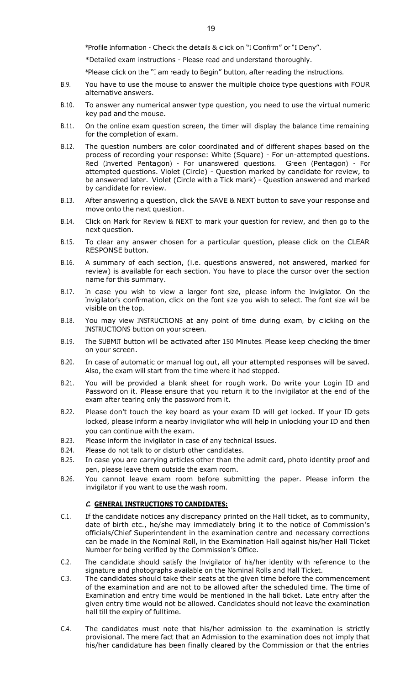\*Profile Information - Check the details & click on "<sup>I</sup> Confirm" or "<sup>I</sup> Deny".

\*Detailed exam instructions - Please read and understand thoroughly.

\*Please click on the "<sup>I</sup> am ready to Begin" button, after reading the instructions.

- B.9. You have to use the mouse to answer the multiple choice type questions with FOUR alternative answers.
- B.10. To answer any numerical answer type question, you need to use the virtual numeric key pad and the mouse.
- B.11. On the online exam question screen, the timer will display the balance time remaining for the completion of exam.
- B.12. The question numbers are color coordinated and of different shapes based on the process of recording your response: White (Square) - For un-attempted questions. Red (Inverted Pentagon) - For unanswered questions. Green (Pentagon) - For attempted questions. Violet (Circle) - Question marked by candidate for review, to be answered later. Violet (Circle with a Tick mark) - Question answered and marked by candidate for review.
- B.13. After answering a question, click the SAVE & NEXT button to save your response and move onto the next question.
- B.14. Click on Mark for Review & NEXT to mark your question for review, and then go to the next question.
- B.15. To clear any answer chosen for a particular question, please click on the CLEAR RESPONSE button.
- B.16. A summary of each section, (i.e. questions answered, not answered, marked for review) is available for each section. You have to place the cursor over the section name for this summary.
- B.17. In case you wish to view a larger font size, please inform the Invigilator. On the Invigilator's confirmation, click on the font size you wish to select. The font size will be visible on the top.
- B.18. You may view INSTRUCTIONS at any point of time during exam, by clicking on the INSTRUCTIONS button on your screen.
- B.19. The SUBMIT button will be activated after <sup>150</sup> Minutes. Please keep checking the timer on your screen.
- B.20. In case of automatic or manual log out, all your attempted responses will be saved. Also, the exam will start from the time where it had stopped.
- B.21. You will be provided a blank sheet for rough work. Do write your Login ID and Password on it. Please ensure that you return it to the invigilator at the end of the exam after tearing only the password from it.
- B.22. Please don't touch the key board as your exam ID will get locked. If your ID gets locked, please inform a nearby invigilator who will help in unlocking your ID and then you can continue with the exam.
- B.23. Please inform the invigilator in case of any technical issues.
- B.24. Please do not talk to or disturb other candidates.
- B.25. In case you are carrying articles other than the admit card, photo identity proof and pen, please leave them outside the exam room.
- B.26. You cannot leave exam room before submitting the paper. Please inform the invigilator if you want to use the wash room.

#### **C. GENERAL INSTRUCTIONS TO CANDIDATES:**

- C.1. If the candidate notices any discrepancy printed on the Hall ticket, as to community, date of birth etc., he/she may immediately bring it to the notice of Commission's officials/Chief Superintendent in the examination centre and necessary corrections can be made in the Nominal Roll, in the Examination Hall against his/her Hall Ticket Number for being verified by the Commission's Office.
- C.2. The candidate should satisfy the Invigilator of his/her identity with reference to the signature and photographs available on the Nominal Rolls and Hall Ticket.
- C.3. The candidates should take their seats at the given time before the commencement of the examination and are not to be allowed after the scheduled time. The time of Examination and entry time would be mentioned in the hall ticket. Late entry after the given entry time would not be allowed. Candidates should not leave the examination hall till the expiry of fulltime.
- C.4. The candidates must note that his/her admission to the examination is strictly provisional. The mere fact that an Admission to the examination does not imply that his/her candidature has been finally cleared by the Commission or that the entries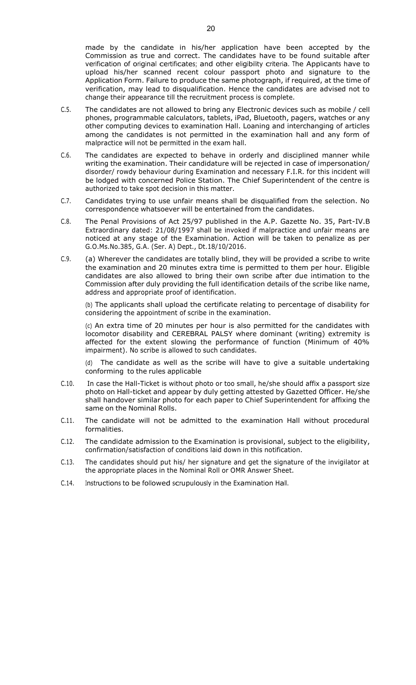made by the candidate in his/her application have been accepted by the Commission as true and correct. The candidates have to be found suitable after verification of original certificates; and other eligibility criteria. The Applicants have to upload his/her scanned recent colour passport photo and signature to the Application Form. Failure to produce the same photograph, if required, at the time of verification, may lead to disqualification. Hence the candidates are advised not to change their appearance till the recruitment process is complete.

- C.5. The candidates are not allowed to bring any Electronic devices such as mobile / cell phones, programmable calculators, tablets, iPad, Bluetooth, pagers, watches or any other computing devices to examination Hall. Loaning and interchanging of articles among the candidates is not permitted in the examination hall and any form of malpractice will not be permitted in the exam hall.
- C.6. The candidates are expected to behave in orderly and disciplined manner while writing the examination. Their candidature will be rejected in case of impersonation/ disorder/ rowdy behaviour during Examination and necessary F.I.R. for this incident will be lodged with concerned Police Station. The Chief Superintendent of the centre is authorized to take spot decision in this matter.
- C.7. Candidates trying to use unfair means shall be disqualified from the selection. No correspondence whatsoever will be entertained from the candidates.
- C.8. The Penal Provisions of Act 25/97 published in the A.P. Gazette No. 35, Part-IV.B Extraordinary dated: 21/08/1997 shall be invoked if malpractice and unfair means are noticed at any stage of the Examination. Action will be taken to penalize as per G.O.Ms.No.385, G.A. (Ser. A) Dept., Dt.18/10/2016.
- C.9. (a) Wherever the candidates are totally blind, they will be provided a scribe to write the examination and 20 minutes extra time is permitted to them per hour. Eligible candidates are also allowed to bring their own scribe after due intimation to the Commission after duly providing the full identification details of the scribe like name, address and appropriate proof of identification.

(b) The applicants shall upload the certificate relating to percentage of disability for considering the appointment of scribe in the examination.

(c) An extra time of 20 minutes per hour is also permitted for the candidates with locomotor disability and CEREBRAL PALSY where dominant (writing) extremity is affected for the extent slowing the performance of function (Minimum of 40% impairment). No scribe is allowed to such candidates.

The candidate as well as the scribe will have to give a suitable undertaking conforming to the rules applicable

- C.10. In case the Hall-Ticket is without photo or too small, he/she should affix a passport size photo on Hall-ticket and appear by duly getting attested by Gazetted Officer. He/she shall handover similar photo for each paper to Chief Superintendent for affixing the same on the Nominal Rolls.
- C.11. The candidate will not be admitted to the examination Hall without procedural formalities.
- C.12. The candidate admission to the Examination is provisional, subject to the eligibility, confirmation/satisfaction of conditions laid down in this notification.
- C.13. The candidates should put his/ her signature and get the signature of the invigilator at the appropriate places in the Nominal Roll or OMR Answer Sheet.
- C.14. Instructions to be followed scrupulously in the Examination Hall.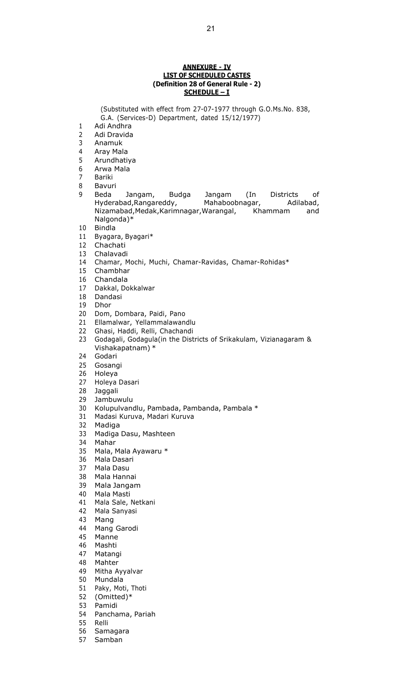#### **ANNEXURE - IV LIST OF SCHEDULED CASTES (Definition 28 of General Rule - 2) SCHEDULE – I**

(Substituted with effect from 27-07-1977 through G.O.Ms.No. 838, G.A. (Services-D) Department, dated 15/12/1977)

- Adi Andhra
- Adi Dravida
- Anamuk
- Aray Mala
- Arundhatiya
- Arwa Mala
- Bariki
- Bavuri
- Beda Jangam, Budga Jangam (In Districts of Hyderabad,Rangareddy, Mahaboobnagar, Adilabad, Nizamabad, Medak, Karimnagar, Warangal, Khammam and Nalgonda)\*
- Bindla
- Byagara, Byagari\*
- Chachati
- Chalavadi
- Chamar, Mochi, Muchi, Chamar-Ravidas, Chamar-Rohidas\*
- Chambhar
- Chandala
- Dakkal, Dokkalwar
- Dandasi
- Dhor
- Dom, Dombara, Paidi, Pano
- Ellamalwar, Yellammalawandlu
- Ghasi, Haddi, Relli, Chachandi
- Godagali, Godagula(in the Districts of Srikakulam, Vizianagaram & Vishakapatnam) \*
- Godari
- Gosangi
- Holeya
- Holeya Dasari
- Jaggali
- Jambuwulu
- Kolupulvandlu, Pambada, Pambanda, Pambala \*
- Madasi Kuruva, Madari Kuruva
- Madiga
- Madiga Dasu, Mashteen
- Mahar
- Mala, Mala Ayawaru \*
- Mala Dasari
- Mala Dasu
- Mala Hannai
- 
- Mala Jangam Mala Masti
- Mala Sale, Netkani
- Mala Sanyasi
- Mang
- Mang Garodi
- Manne
- Mashti
- Matangi
- Mahter
- Mitha Ayyalvar
- Mundala
- Paky, Moti, Thoti
- (Omitted)\*
- Pamidi
- Panchama, Pariah
- Relli
- Samagara
- Samban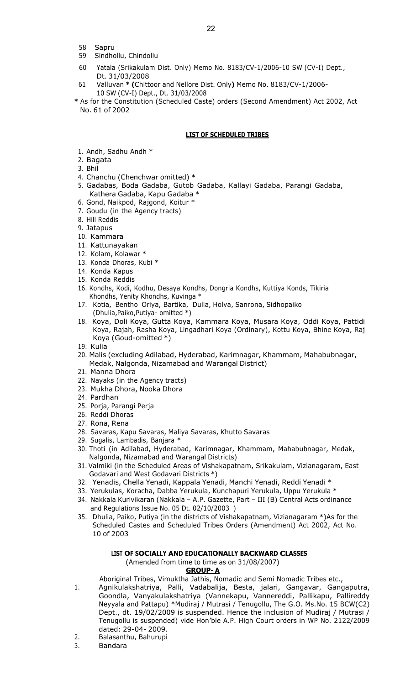- 58 Sapru
- 59 Sindhollu, Chindollu
- 60 Yatala (Srikakulam Dist. Only) Memo No. 8183/CV-1/2006-10 SW (CV-I) Dept., Dt. 31/03/2008
- 61 Valluvan **\* (**Chittoor and Nellore Dist. Only**)** Memo No. 8183/CV-1/2006- 10 SW (CV-I) Dept., Dt. 31/03/2008
- **\*** As for the Constitution (Scheduled Caste) orders (Second Amendment) Act 2002, Act No. 61 of 2002

### **LIST OF SCHEDULED TRIBES**

- 1. Andh, Sadhu Andh \*
- 2. Bagata
- 3. Bhil
- 4. Chanchu (Chenchwar omitted) \*
- 5. Gadabas, Boda Gadaba, Gutob Gadaba, Kallayi Gadaba, Parangi Gadaba, Kathera Gadaba, Kapu Gadaba \*
- 6. Gond, Naikpod, Rajgond, Koitur \*
- 7. Goudu (in the Agency tracts)
- 8. Hill Reddis
- 9. Jatapus
- 10. Kammara
- 11. Kattunayakan
- 12. Kolam, Kolawar \*
- 13. Konda Dhoras, Kubi \*
- 14. Konda Kapus
- 15. Konda Reddis
- 16. Kondhs, Kodi, Kodhu, Desaya Kondhs, Dongria Kondhs, Kuttiya Konds, Tikiria Khondhs, Yenity Khondhs, Kuvinga \*
- 17. Kotia, Bentho Oriya, Bartika, Dulia, Holva, Sanrona, Sidhopaiko (Dhulia,Paiko,Putiya- omitted \*)
- 18. Koya, Doli Koya, Gutta Koya, Kammara Koya, Musara Koya, Oddi Koya, Pattidi Koya, Rajah, Rasha Koya, Lingadhari Koya (Ordinary), Kottu Koya, Bhine Koya, Raj Koya (Goud-omitted \*)
- 19. Kulia
- 20. Malis (excluding Adilabad, Hyderabad, Karimnagar, Khammam, Mahabubnagar, Medak, Nalgonda, Nizamabad and Warangal District)
- 21. Manna Dhora
- 22. Nayaks (in the Agency tracts)
- 23. Mukha Dhora, Nooka Dhora
- 24. Pardhan
- 25. Porja, Parangi Perja
- 26. Reddi Dhoras
- 27. Rona, Rena
- 28. Savaras, Kapu Savaras, Maliya Savaras, Khutto Savaras
- 29. Sugalis, Lambadis, Banjara \*
- 30. Thoti (in Adilabad, Hyderabad, Karimnagar, Khammam, Mahabubnagar, Medak, Nalgonda, Nizamabad and Warangal Districts)
- 31. Valmiki (in the Scheduled Areas of Vishakapatnam, Srikakulam, Vizianagaram, East Godavari and West Godavari Districts \*)
- 32. Yenadis, Chella Yenadi, Kappala Yenadi, Manchi Yenadi, Reddi Yenadi \*
- 33. Yerukulas, Koracha, Dabba Yerukula, Kunchapuri Yerukula, Uppu Yerukula \*
- 34. Nakkala Kurivikaran (Nakkala A.P. Gazette, Part III (B) Central Acts ordinance and Regulations Issue No. 05 Dt. 02/10/2003 )
- 35. Dhulia, Paiko, Putiya (in the districts of Vishakapatnam, Vizianagaram \*)As for the Scheduled Castes and Scheduled Tribes Orders (Amendment) Act 2002, Act No. 10 of 2003

#### **LIST OF SOCIALLY AND EDUCATIONALLY BACKWARD CLASSES**

(Amended from time to time as on 31/08/2007)

### **GROUP- A**

Aboriginal Tribes, Vimuktha Jathis, Nomadic and Semi Nomadic Tribes etc.,

- 1. Agnikulakshatriya, Palli, Vadabalija, Besta, jalari, Gangavar, Gangaputra, Goondla, Vanyakulakshatriya (Vannekapu, Vannereddi, Pallikapu, Pallireddy Neyyala and Pattapu) \*Mudiraj / Mutrasi / Tenugollu, The G.O. Ms.No. 15 BCW(C2) Dept., dt. 19/02/2009 is suspended. Hence the inclusion of Mudiraj / Mutrasi / Tenugollu is suspended) vide Hon'ble A.P. High Court orders in WP No. 2122/2009 dated: 29-04- 2009.
- 2. Balasanthu, Bahurupi
- 3. Bandara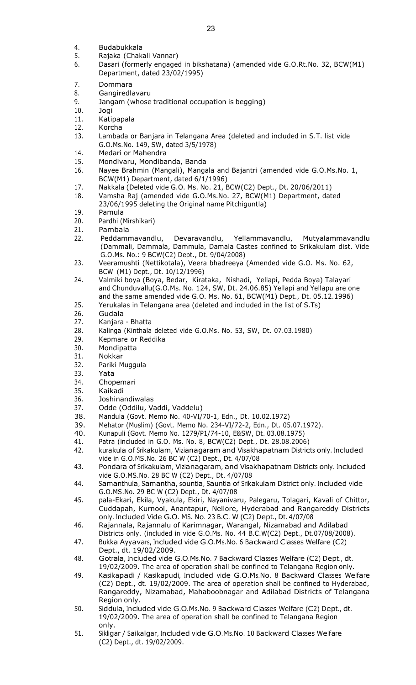- 4. Budabukkala
- 5. Rajaka (Chakali Vannar)
- 6. Dasari (formerly engaged in bikshatana) (amended vide G.O.Rt.No. 32, BCW(M1) Department, dated 23/02/1995)
- 7. Dommara
- 8. Gangiredlavaru
- 9. Jangam (whose traditional occupation is begging)
- 10. Jogi
- 11. Katipapala
- 12. Korcha
- 13. Lambada or Banjara in Telangana Area (deleted and included in S.T. list vide G.O.Ms.No. 149, SW, dated 3/5/1978)
- 14. Medari or Mahendra
- 15. Mondivaru, Mondibanda, Banda
- 16. Nayee Brahmin (Mangali), Mangala and Bajantri (amended vide G.O.Ms.No. 1, BCW(M1) Department, dated 6/1/1996)
- 17. Nakkala (Deleted vide G.O. Ms. No. 21, BCW(C2) Dept., Dt. 20/06/2011)
- 18. Vamsha Raj (amended vide G.O.Ms.No. 27, BCW(M1) Department, dated 23/06/1995 deleting the Original name Pitchiguntla)
- 19. Pamula
- 20. Pardhi (Mirshikari)
- 21. Pambala
- 22. Peddammavandlu, Devaravandlu, Yellammavandlu, Mutyalammavandlu (Dammali, Dammala, Dammula, Damala Castes confined to Srikakulam dist. Vide G.O.Ms. No.: 9 BCW(C2) Dept., Dt. 9/04/2008)
- 23. Veeramushti (Nettikotala), Veera bhadreeya (Amended vide G.O. Ms. No. 62, BCW (M1) Dept., Dt. 10/12/1996)
- 24. Valmiki boya (Boya, Bedar, Kirataka, Nishadi, Yellapi, Pedda Boya) Talayari and Chunduvallu(G.O.Ms. No. 124, SW, Dt. 24.06.85) Yellapi and Yellapu are one and the same amended vide G.O. Ms. No. 61, BCW(M1) Dept., Dt. 05.12.1996)
- 25. Yerukalas in Telangana area (deleted and included in the list of S.Ts)
- 26. Gudala
- 27. Kanjara Bhatta
- 28. Kalinga (Kinthala deleted vide G.O.Ms. No. 53, SW, Dt. 07.03.1980)
- 29. Kepmare or Reddika
- 30. Mondipatta
- 31. Nokkar
- 32. Pariki Muggula
- 33. Yata
- 34. Chopemari
- 35. Kaikadi
- 36. Joshinandiwalas
- 37. Odde (Oddilu, Vaddi, Vaddelu)
- 38. Mandula (Govt. Memo No. 40-VI/70-1, Edn., Dt. 10.02.1972)
- 39. Mehator (Muslim) (Govt. Memo No. 234-VI/72-2, Edn., Dt. 05.07.1972).
- 40. Kunapuli (Govt. Memo No. 1279/P1/74-10, E&SW, Dt. 03.08.1975)
- 41. Patra (included in G.O. Ms. No. 8, BCW(C2) Dept., Dt. 28.08.2006)
- 42. kurakula of Srikakulam, Vizianagaram and Visakhapatnam Districts only. Included vide in G.O.MS.No. 26 BC W (C2) Dept., Dt. 4/07/08
- 43. Pondara of Srikakulam, Vizianagaram, and Visakhapatnam Districts only. Included vide G.O.MS.No. 28 BC W (C2) Dept., Dt. 4/07/08
- 44. Samanthula, Samantha, sountia, Sauntia of Srikakulam District only. Included vide G.O.MS.No. 29 BC W (C2) Dept., Dt. 4/07/08
- 45. pala-Ekari, Ekila, Vyakula, Ekiri, Nayanivaru, Palegaru, Tolagari, Kavali of Chittor, Cuddapah, Kurnool, Anantapur, Nellore, Hyderabad and Rangareddy Districts only. Included Vide G.O. MS. No. <sup>23</sup> B.C. W (C2) Dept., Dt. 4/07/08
- 46. Rajannala, Rajannalu of Karimnagar, Warangal, Nizamabad and Adilabad Districts only. (included in vide G.O.Ms. No. 44 B.C.W(C2) Dept., Dt.07/08/2008).
- 47. Bukka Ayyavars, Included vide G.O.Ms.No. <sup>6</sup> Backward Classes Welfare (C2) Dept., dt. 19/02/2009.
- 48. Gotrala, Included vide G.O.Ms.No. <sup>7</sup> Backward Classes Welfare (C2) Dept., dt. 19/02/2009. The area of operation shall be confined to Telangana Region only.
- 49. Kasikapadi / Kasikapudi, Included vide G.O.Ms.No. <sup>8</sup> Backward Classes Welfare (C2) Dept., dt. 19/02/2009. The area of operation shall be confined to Hyderabad, Rangareddy, Nizamabad, Mahaboobnagar and Adilabad Districts of Telangana Region only.
- 50. Siddula, Included vide G.O.Ms.No. <sup>9</sup> Backward Classes Welfare (C2) Dept., dt. 19/02/2009. The area of operation shall be confined to Telangana Region only.
- 51. Sikligar / Saikalgar, Included vide G.O.Ms.No. <sup>10</sup> Backward Classes Welfare (C2) Dept., dt. 19/02/2009.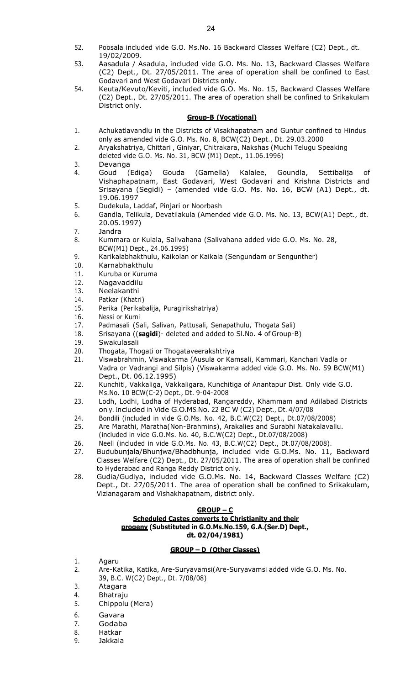- 52. Poosala included vide G.O. Ms.No. 16 Backward Classes Welfare (C2) Dept., dt.
- 19/02/2009. 53. Aasadula / Asadula, included vide G.O. Ms. No. 13, Backward Classes Welfare (C2) Dept., Dt. 27/05/2011. The area of operation shall be confined to East Godavari and West Godavari Districts only.
- 54. Keuta/Kevuto/Keviti, included vide G.O. Ms. No. 15, Backward Classes Welfare (C2) Dept., Dt. 27/05/2011. The area of operation shall be confined to Srikakulam District only.

### **Group-B (Vocational)**

- 1. Achukatlavandlu in the Districts of Visakhapatnam and Guntur confined to Hindus only as amended vide G.O. Ms. No. 8, BCW(C2) Dept., Dt. 29.03.2000
- 2. Aryakshatriya, Chittari , Giniyar, Chitrakara, Nakshas (Muchi Telugu Speaking deleted vide G.O. Ms. No. 31, BCW (M1) Dept., 11.06.1996)
- 3. Devanga
- 4. Goud (Ediga) Gouda (Gamella) Kalalee, Goundla, Settibalija of Vishaphapatnam, East Godavari, West Godavari and Krishna Districts and Srisayana (Segidi) – (amended vide G.O. Ms. No. 16, BCW (A1) Dept., dt. 19.06.1997
- 5. Dudekula, Laddaf, Pinjari or Noorbash
- 6. Gandla, Telikula, Devatilakula (Amended vide G.O. Ms. No. 13, BCW(A1) Dept., dt. 20.05.1997)
- 7. Jandra
- 8. Kummara or Kulala, Salivahana (Salivahana added vide G.O. Ms. No. 28, BCW(M1) Dept., 24.06.1995)
- 9. Karikalabhakthulu, Kaikolan or Kaikala (Sengundam or Sengunther)
- 10. Karnabhakthulu
- 11. Kuruba or Kuruma
- 12. Nagavaddilu
- 13. Neelakanthi
- 14. Patkar (Khatri)
- 15. Perika (Perikabalija, Puragirikshatriya)
- 16. Nessi or Kurni
- 17. Padmasali (Sali, Salivan, Pattusali, Senapathulu, Thogata Sali)
- 18. Srisayana ((**sagidi**)- deleted and added to Sl.No. 4 of Group-B)
- 19. Swakulasali
- 20. Thogata, Thogati or Thogataveerakshtriya
- 21. Viswabrahmin, Viswakarma (Ausula or Kamsali, Kammari, Kanchari Vadla or Vadra or Vadrangi and Silpis) (Viswakarma added vide G.O. Ms. No. 59 BCW(M1) Dept., Dt. 06.12.1995)
- 22. Kunchiti, Vakkaliga, Vakkaligara, Kunchitiga of Anantapur Dist. Only vide G.O. Ms.No. 10 BCW(C-2) Dept., Dt. 9-04-2008
- 23. Lodh, Lodhi, Lodha of Hyderabad, Rangareddy, Khammam and Adilabad Districts only. Included in Vide G.O.MS.No. <sup>22</sup> BC W (C2) Dept., Dt. 4/07/08
- 24. Bondili (included in vide G.O.Ms. No. 42, B.C.W(C2) Dept., Dt.07/08/2008)
- 25. Are Marathi, Maratha(Non-Brahmins), Arakalies and Surabhi Natakalavallu. (included in vide G.O.Ms. No. 40, B.C.W(C2) Dept., Dt.07/08/2008)
- 26. Neeli (included in vide G.O.Ms. No. 43, B.C.W(C2) Dept., Dt.07/08/2008).
- 27. Budubunjala/Bhunjwa/Bhadbhunja, included vide G.O.Ms. No. 11, Backward Classes Welfare (C2) Dept., Dt. 27/05/2011. The area of operation shall be confined to Hyderabad and Ranga Reddy District only.
- 28. Gudia/Gudiya, included vide G.O.Ms. No. 14, Backward Classes Welfare (C2) Dept., Dt. 27/05/2011. The area of operation shall be confined to Srikakulam, Vizianagaram and Vishakhapatnam, district only.

#### **GROUP – C**

# **Scheduled Castes converts to Christianity and their progeny (Substituted in G.O.Ms.No.159, G.A.(Ser.D) Dept., dt. 02/04/1981)**

#### **GROUP – D (Other Classes)**

- 1. Agaru
- 2. Are-Katika, Katika, Are-Suryavamsi(Are-Suryavamsi added vide G.O. Ms. No. 39, B.C. W(C2) Dept., Dt. 7/08/08)
- 3. Atagara
- 4. Bhatraju
- 5. Chippolu (Mera)
- 6. Gavara
- 7. Godaba
- 8. Hatkar
- 9. Jakkala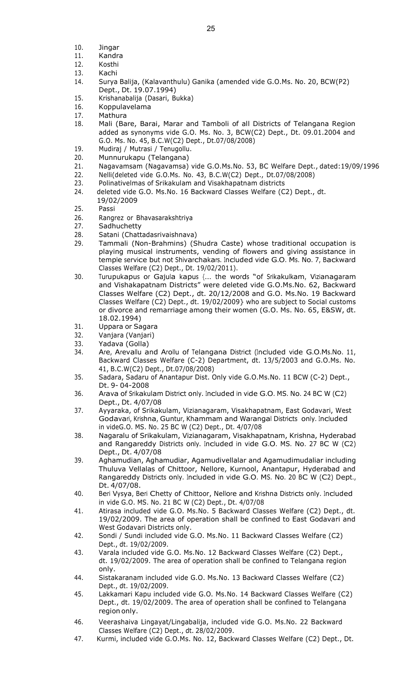- 10. Jingar
- 11. Kandra
- 12. Kosthi
- 13. Kachi
- 14. Surya Balija, (Kalavanthulu) Ganika (amended vide G.O.Ms. No. 20, BCW(P2) Dept., Dt. 19.07.1994)
- 15. Krishanabalija (Dasari, Bukka)
- 16. Koppulavelama
- 17. Mathura
- 18. Mali (Bare, Barai, Marar and Tamboli of all Districts of Telangana Region added as synonyms vide G.O. Ms. No. 3, BCW(C2) Dept., Dt. 09.01.2004 and G.O. Ms. No. 45, B.C.W(C2) Dept., Dt.07/08/2008)
- 19. Mudiraj / Mutrasi / Tenugollu.
- 20. Munnurukapu (Telangana)
- 21. Nagavamsam (Nagavamsa) vide G.O.Ms.No. 53, BC Welfare Dept., dated:19/09/1996
- 22. Nelli(deleted vide G.O.Ms. No. 43, B.C.W(C2) Dept., Dt.07/08/2008)
- 23. Polinativelmas of Srikakulam and Visakhapatnam districts
- 24. deleted vide G.O. Ms.No. 16 Backward Classes Welfare (C2) Dept., dt. 19/02/2009
- 25. Passi
- 26. Rangrez or Bhavasarakshtriya
- 27. Sadhuchetty
- 28. Satani (Chattadasrivaishnava)
- 29. Tammali (Non-Brahmins) (Shudra Caste) whose traditional occupation is playing musical instruments, vending of flowers and giving assistance in temple service but not Shivarchakars. Included vide G.O. Ms. No. 7, Backward Classes Welfare (C2) Dept., Dt. 19/02/2011).
- 30. Turupukapus or Gajula kapus {… the words "of Srikakulkam, Vizianagaram and Vishakapatnam Districts" were deleted vide G.O.Ms.No. 62, Backward Classes Welfare (C2) Dept., dt. 20/12/2008 and G.O. Ms.No. 19 Backward Classes Welfare (C2) Dept., dt. 19/02/2009} who are subject to Social customs or divorce and remarriage among their women (G.O. Ms. No. 65, E&SW, dt. 18.02.1994)
- 31. Uppara or Sagara
- 32. Vanjara (Vanjari)
- 33. Yadava (Golla)
- 34. Are, Arevallu and Arollu of Telangana District (Included vide G.O.Ms.No. 11, Backward Classes Welfare (C-2) Department, dt. 13/5/2003 and G.O.Ms. No. 41, B.C.W(C2) Dept., Dt.07/08/2008)
- 35. Sadara, Sadaru of Anantapur Dist. Only vide G.O.Ms.No. 11 BCW (C-2) Dept., Dt. 9- 04-2008
- 36. Arava of Srikakulam District only. Included in vide G.O. MS. No. <sup>24</sup> BC W (C2) Dept., Dt. 4/07/08
- 37. Ayyaraka, of Srikakulam, Vizianagaram, Visakhapatnam, East Godavari, West Godavari, Krishna, Guntur, Khammam and Warangal Districts only. Included in videG.O. MS. No. 25 BC W (C2) Dept., Dt. 4/07/08
- 38. Nagaralu of Srikakulam, Vizianagaram, Visakhapatnam, Krishna, Hyderabad and Rangareddy Districts only. Included in vide G.O. MS. No. <sup>27</sup> BC W (C2) Dept., Dt. 4/07/08
- 39. Aghamudian, Aghamudiar, Agamudivellalar and Agamudimudaliar including Thuluva Vellalas of Chittoor, Nellore, Kurnool, Anantapur, Hyderabad and Rangareddy Districts only. Included in vide G.O. MS. No. <sup>20</sup> BC W (C2) Dept., Dt. 4/07/08.
- 40. Beri Vysya, Beri Chetty of Chittoor, Nellore and Krishna Districts only. Included in vide G.O. MS. No. 21 BC W (C2) Dept., Dt. 4/07/08
- 41. Atirasa included vide G.O. Ms.No. 5 Backward Classes Welfare (C2) Dept., dt. 19/02/2009. The area of operation shall be confined to East Godavari and West Godavari Districts only.
- 42. Sondi / Sundi included vide G.O. Ms.No. 11 Backward Classes Welfare (C2) Dept., dt. 19/02/2009.
- 43. Varala included vide G.O. Ms.No. 12 Backward Classes Welfare (C2) Dept., dt. 19/02/2009. The area of operation shall be confined to Telangana region only.
- 44. Sistakaranam included vide G.O. Ms.No. 13 Backward Classes Welfare (C2) Dept., dt. 19/02/2009.
- 45. Lakkamari Kapu included vide G.O. Ms.No. 14 Backward Classes Welfare (C2) Dept., dt. 19/02/2009. The area of operation shall be confined to Telangana region only.
- 46. Veerashaiva Lingayat/Lingabalija, included vide G.O. Ms.No. 22 Backward Classes Welfare (C2) Dept., dt. 28/02/2009.
- 47. Kurmi, included vide G.O.Ms. No. 12, Backward Classes Welfare (C2) Dept., Dt.